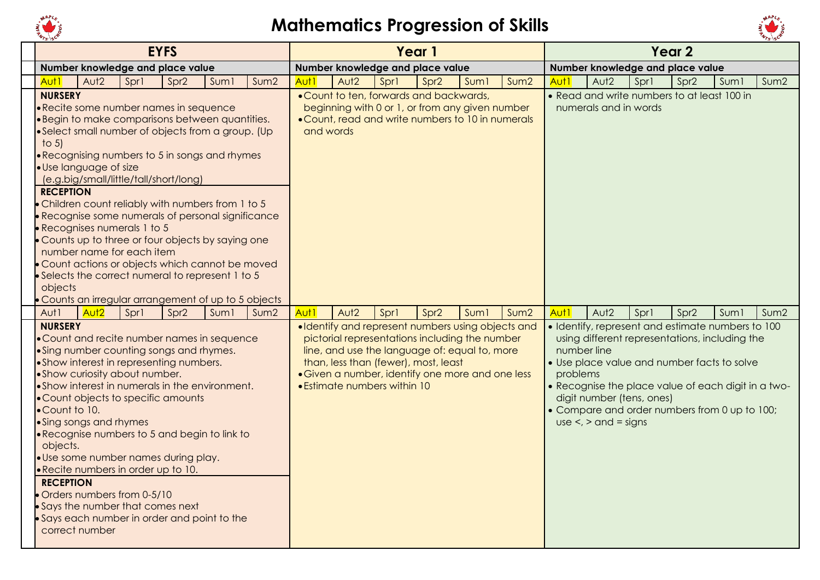



| <b>EYFS</b>                                                                                                                                                                                                                                                                                                                                                                                                                                                                                                                                                                                                                                                                                                                                                                                                                                                                                                  | Year 1                                                                                                                                                                                                                                                                                                                                                               | Year 2                                                                                                                                                                                                                                                                                                                                                                                                                    |
|--------------------------------------------------------------------------------------------------------------------------------------------------------------------------------------------------------------------------------------------------------------------------------------------------------------------------------------------------------------------------------------------------------------------------------------------------------------------------------------------------------------------------------------------------------------------------------------------------------------------------------------------------------------------------------------------------------------------------------------------------------------------------------------------------------------------------------------------------------------------------------------------------------------|----------------------------------------------------------------------------------------------------------------------------------------------------------------------------------------------------------------------------------------------------------------------------------------------------------------------------------------------------------------------|---------------------------------------------------------------------------------------------------------------------------------------------------------------------------------------------------------------------------------------------------------------------------------------------------------------------------------------------------------------------------------------------------------------------------|
| Number knowledge and place value                                                                                                                                                                                                                                                                                                                                                                                                                                                                                                                                                                                                                                                                                                                                                                                                                                                                             | Number knowledge and place value                                                                                                                                                                                                                                                                                                                                     | Number knowledge and place value                                                                                                                                                                                                                                                                                                                                                                                          |
| Aut <sub>2</sub><br>Sprl<br>Spr <sub>2</sub><br>Suml<br>Sum2<br>Aut <sub>1</sub>                                                                                                                                                                                                                                                                                                                                                                                                                                                                                                                                                                                                                                                                                                                                                                                                                             | Aut <sub>2</sub><br>Aut <sub>1</sub><br>Spr1<br>Spr <sub>2</sub><br>Sum2<br>Sum <sub>1</sub>                                                                                                                                                                                                                                                                         | Aut <sub>2</sub><br>Spr1<br>Aut1<br>Spr <sub>2</sub><br>Sum1<br>Sum2                                                                                                                                                                                                                                                                                                                                                      |
| <b>NURSERY</b><br>• Recite some number names in sequence<br>·Begin to make comparisons between quantities.<br>• Select small number of objects from a group. (Up<br>to $5$ )<br>• Recognising numbers to 5 in songs and rhymes<br>· Use language of size<br>(e.g.big/small/little/tall/short/long)<br><b>RECEPTION</b><br>• Children count reliably with numbers from 1 to 5<br>· Recognise some numerals of personal significance<br>Recognises numerals 1 to 5<br>• Counts up to three or four objects by saying one                                                                                                                                                                                                                                                                                                                                                                                       | . Count to ten, forwards and backwards,<br>beginning with 0 or 1, or from any given number<br>• Count, read and write numbers to 10 in numerals<br>and words                                                                                                                                                                                                         | • Read and write numbers to at least 100 in<br>numerals and in words                                                                                                                                                                                                                                                                                                                                                      |
| number name for each item<br>• Count actions or objects which cannot be moved<br>Selects the correct numeral to represent 1 to 5<br>objects<br>. Counts an irregular arrangement of up to 5 objects<br>Aut <sub>2</sub><br>Aut1<br>Sprl<br>Spr <sub>2</sub><br>Suml<br>Sum2<br><b>NURSERY</b><br>• Count and recite number names in sequence<br>• Sing number counting songs and rhymes.<br>• Show interest in representing numbers.<br>• Show curiosity about number.<br>• Show interest in numerals in the environment.<br>• Count objects to specific amounts<br>•Count to 10.<br>• Sing songs and rhymes<br>• Recognise numbers to 5 and begin to link to<br>objects.<br>· Use some number names during play.<br>.Recite numbers in order up to 10.<br><b>RECEPTION</b><br>Orders numbers from 0-5/10<br>Says the number that comes next<br>Says each number in order and point to the<br>correct number | Aut1<br>Aut <sub>2</sub><br>Sprl<br>Spr <sub>2</sub><br>Sum <sub>1</sub><br>Sum2<br>·Identify and represent numbers using objects and<br>pictorial representations including the number<br>line, and use the language of: equal to, more<br>than, less than (fewer), most, least<br>· Given a number, identify one more and one less<br>• Estimate numbers within 10 | Aut1<br>Aut <sub>2</sub><br>Spr1<br>Spr <sub>2</sub><br>Sum1<br>Sum2<br>· Identify, represent and estimate numbers to 100<br>using different representations, including the<br>number line<br>• Use place value and number facts to solve<br>problems<br>• Recognise the place value of each digit in a two-<br>digit number (tens, ones)<br>• Compare and order numbers from 0 up to 100;<br>$use <$ , $>$ and $=$ signs |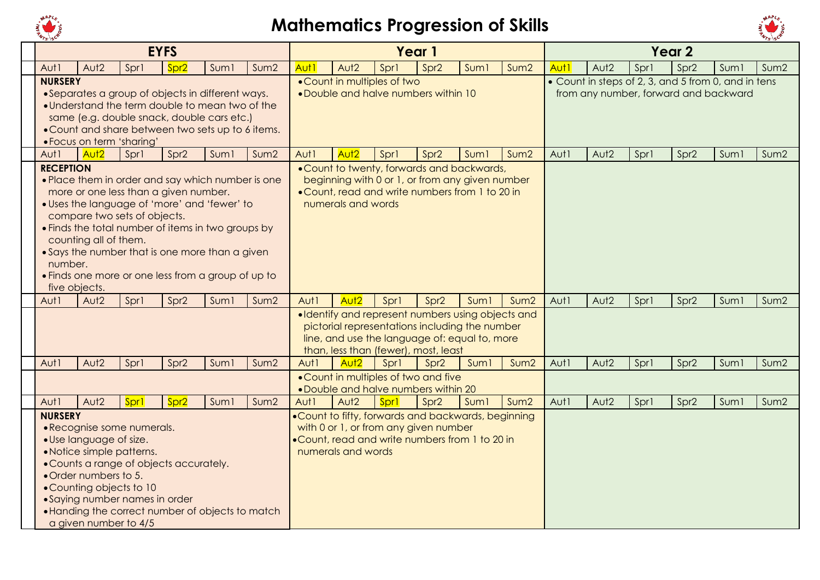



|                                              |                                                  |                                                                                                                                                                                                                                                                                                                                           | <b>EYFS</b>      |                  |                  |      |                             |      | Year 1                                                                                                                                                                                       |                  |                  |                  |                  |      | Year <sub>2</sub> |                                                                                              |      |
|----------------------------------------------|--------------------------------------------------|-------------------------------------------------------------------------------------------------------------------------------------------------------------------------------------------------------------------------------------------------------------------------------------------------------------------------------------------|------------------|------------------|------------------|------|-----------------------------|------|----------------------------------------------------------------------------------------------------------------------------------------------------------------------------------------------|------------------|------------------|------------------|------------------|------|-------------------|----------------------------------------------------------------------------------------------|------|
| Aut1                                         | Aut <sub>2</sub>                                 | Spr1                                                                                                                                                                                                                                                                                                                                      | Spr <sub>2</sub> | Suml             | Sum <sub>2</sub> | Aut1 | Aut <sub>2</sub>            | Sprl | Spr <sub>2</sub>                                                                                                                                                                             | Sum <sub>1</sub> | Sum2             | Aut <sub>1</sub> | Aut2             | Spr1 | Spr <sub>2</sub>  | Sum <sub>1</sub>                                                                             | Sum2 |
| <b>NURSERY</b>                               |                                                  | • Separates a group of objects in different ways.<br>• Understand the term double to mean two of the<br>same (e.g. double snack, double cars etc.)<br>. Count and share between two sets up to 6 items.<br>• Focus on term 'sharing'                                                                                                      |                  |                  |                  |      | . Count in multiples of two |      | . Double and halve numbers within 10                                                                                                                                                         |                  |                  |                  |                  |      |                   | • Count in steps of 2, 3, and 5 from 0, and in tens<br>from any number, forward and backward |      |
| Aut1                                         | Aut <sub>2</sub>                                 | Sprl                                                                                                                                                                                                                                                                                                                                      | Spr <sub>2</sub> | Suml             | Sum <sub>2</sub> | Aut1 | Aut <sub>2</sub>            | Spr1 | Spr <sub>2</sub>                                                                                                                                                                             | Sum <sub>1</sub> | Sum2             | Aut1             | Aut <sub>2</sub> | Spr1 | Spr <sub>2</sub>  | Sum <sub>1</sub>                                                                             | Sum2 |
| <b>RECEPTION</b><br>number.<br>five objects. | counting all of them.                            | • Place them in order and say which number is one<br>more or one less than a given number.<br>· Uses the language of 'more' and 'fewer' to<br>compare two sets of objects.<br>• Finds the total number of items in two groups by<br>• Says the number that is one more than a given<br>. Finds one more or one less from a group of up to |                  |                  |                  |      | numerals and words          |      | . Count to twenty, forwards and backwards,<br>beginning with 0 or 1, or from any given number<br>. Count, read and write numbers from 1 to 20 in                                             |                  |                  |                  |                  |      |                   |                                                                                              |      |
| Aut1                                         | Aut <sub>2</sub>                                 | Sprl                                                                                                                                                                                                                                                                                                                                      | Spr <sub>2</sub> | Sum <sub>1</sub> | Sum <sub>2</sub> | Aut1 | Aut <sub>2</sub>            | Spr1 | Spr <sub>2</sub>                                                                                                                                                                             | Sum <sub>1</sub> | Sum <sub>2</sub> | Aut1             | Aut2             | Spr1 | Spr <sub>2</sub>  | Sum1                                                                                         | Sum2 |
|                                              |                                                  |                                                                                                                                                                                                                                                                                                                                           |                  |                  |                  |      |                             |      | ·Identify and represent numbers using objects and<br>pictorial representations including the number<br>line, and use the language of: equal to, more<br>than, less than (fewer), most, least |                  |                  |                  |                  |      |                   |                                                                                              |      |
| Aut1                                         | Aut <sub>2</sub>                                 | Sprl                                                                                                                                                                                                                                                                                                                                      | Spr <sub>2</sub> | Sum <sub>1</sub> | Sum2             | Aut1 | Aut <sub>2</sub>            | Sprl | Spr <sub>2</sub>                                                                                                                                                                             | Sum <sub>1</sub> | Sum <sub>2</sub> | Aut1             | Aut <sub>2</sub> | Spr1 | Spr <sub>2</sub>  | Sum <sub>1</sub>                                                                             | Sum2 |
|                                              |                                                  |                                                                                                                                                                                                                                                                                                                                           |                  |                  |                  |      |                             |      | • Count in multiples of two and five<br>. Double and halve numbers within 20                                                                                                                 |                  |                  |                  |                  |      |                   |                                                                                              |      |
| Aut1                                         | Aut <sub>2</sub>                                 | Spr1                                                                                                                                                                                                                                                                                                                                      | Spr <sub>2</sub> | Sum <sub>1</sub> | Sum2             | Aut1 | Aut <sub>2</sub>            | Spr1 | Spr <sub>2</sub>                                                                                                                                                                             | Sum <sub>1</sub> | Sum <sub>2</sub> | Aut1             | Aut <sub>2</sub> | Spr1 | Spr <sub>2</sub>  | Suml                                                                                         | Sum2 |
| <b>NURSERY</b>                               | · Use language of size.<br>• Order numbers to 5. | • Recognise some numerals.<br>• Notice simple patterns.<br>• Counts a range of objects accurately.<br>• Counting objects to 10<br>• Saying number names in order<br>• Handing the correct number of objects to match<br>a given number to 4/5                                                                                             |                  |                  |                  |      | numerals and words          |      | . Count to fifty, forwards and backwards, beginning<br>with 0 or 1, or from any given number<br>.Count, read and write numbers from 1 to 20 in                                               |                  |                  |                  |                  |      |                   |                                                                                              |      |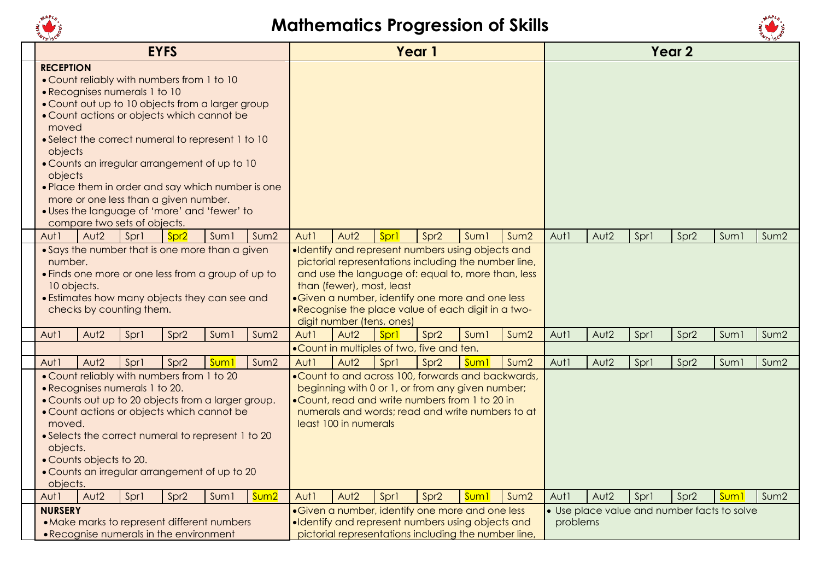



|                                                 |                         |                                                               | <b>EYFS</b>                                                                                                                                                                                                                                                                                                                                                                                      |                  |                  |      |                                                        |      | Year 1                                                                                                                                                                                                               |                  |                  |          |                  |      | Year <sub>2</sub> |                                             |                  |
|-------------------------------------------------|-------------------------|---------------------------------------------------------------|--------------------------------------------------------------------------------------------------------------------------------------------------------------------------------------------------------------------------------------------------------------------------------------------------------------------------------------------------------------------------------------------------|------------------|------------------|------|--------------------------------------------------------|------|----------------------------------------------------------------------------------------------------------------------------------------------------------------------------------------------------------------------|------------------|------------------|----------|------------------|------|-------------------|---------------------------------------------|------------------|
| <b>RECEPTION</b><br>moved<br>objects<br>objects |                         | • Recognises numerals 1 to 10<br>compare two sets of objects. | • Count reliably with numbers from 1 to 10<br>. Count out up to 10 objects from a larger group<br>• Count actions or objects which cannot be<br>• Select the correct numeral to represent 1 to 10<br>• Counts an irregular arrangement of up to 10<br>. Place them in order and say which number is one<br>more or one less than a given number.<br>· Uses the language of 'more' and 'fewer' to |                  |                  |      |                                                        |      |                                                                                                                                                                                                                      |                  |                  |          |                  |      |                   |                                             |                  |
| Aut1                                            | Aut <sub>2</sub>        | Sprl                                                          | Spr <sub>2</sub><br>• Says the number that is one more than a given                                                                                                                                                                                                                                                                                                                              | Sum <sub>1</sub> | Sum2             | Aut1 | Aut <sub>2</sub>                                       | Sprl | Spr <sub>2</sub><br>·Identify and represent numbers using objects and                                                                                                                                                | Sum <sub>1</sub> | Sum <sub>2</sub> | Aut1     | Aut2             | Spr1 | Spr <sub>2</sub>  | Suml                                        | Sum2             |
| number.<br>10 objects.                          |                         | checks by counting them.                                      | • Finds one more or one less from a group of up to<br>• Estimates how many objects they can see and                                                                                                                                                                                                                                                                                              |                  |                  |      | than (fewer), most, least<br>digit number (tens, ones) |      | pictorial representations including the number line,<br>and use the language of: equal to, more than, less<br>• Given a number, identify one more and one less<br>.Recognise the place value of each digit in a two- |                  |                  |          |                  |      |                   |                                             |                  |
| Aut1                                            | Aut <sub>2</sub>        | Sprl                                                          | Spr <sub>2</sub>                                                                                                                                                                                                                                                                                                                                                                                 | Sum <sub>1</sub> | Sum2             | Aut1 | Aut <sub>2</sub>                                       | Sprl | Spr <sub>2</sub>                                                                                                                                                                                                     | Sum <sub>1</sub> | Sum <sub>2</sub> | Aut1     | Aut <sub>2</sub> | Sprl | Spr <sub>2</sub>  | Suml                                        | Sum <sub>2</sub> |
|                                                 |                         |                                                               |                                                                                                                                                                                                                                                                                                                                                                                                  |                  |                  |      |                                                        |      | .Count in multiples of two, five and ten.                                                                                                                                                                            |                  |                  |          |                  |      |                   |                                             |                  |
| Aut 1                                           | Aut <sub>2</sub>        | Spr1                                                          | Spr <sub>2</sub>                                                                                                                                                                                                                                                                                                                                                                                 | <b>Sum</b>       | Sum2             | Aut1 | Aut <sub>2</sub>                                       | Spr1 | Spr <sub>2</sub>                                                                                                                                                                                                     | <b>Sum</b>       | Sum <sub>2</sub> | Aut1     | Aut <sub>2</sub> | Sprl | Spr <sub>2</sub>  | Suml                                        | Sum2             |
| moved.<br>objects.<br>objects.                  | • Counts objects to 20. | • Recognises numerals 1 to 20.                                | . Count reliably with numbers from 1 to 20<br>• Counts out up to 20 objects from a larger group.<br>• Count actions or objects which cannot be<br>• Selects the correct numeral to represent 1 to 20<br>• Counts an irregular arrangement of up to 20                                                                                                                                            |                  |                  |      | least 100 in numerals                                  |      | . Count to and across 100, forwards and backwards,<br>beginning with 0 or 1, or from any given number;<br>.Count, read and write numbers from 1 to 20 in<br>numerals and words; read and write numbers to at         |                  |                  |          |                  |      |                   |                                             |                  |
| Aut <sub>1</sub>                                | Aut <sub>2</sub>        | Sprl                                                          | Spr <sub>2</sub>                                                                                                                                                                                                                                                                                                                                                                                 | Suml             | Sum <sub>2</sub> | Aut1 | Aut <sub>2</sub>                                       | Sprl | Spr <sub>2</sub>                                                                                                                                                                                                     | <b>Sum1</b>      | Sum <sub>2</sub> | Aut1     | Aut <sub>2</sub> | Spr1 | Spr <sub>2</sub>  | <b>Sum1</b>                                 | Sum <sub>2</sub> |
| <b>NURSERY</b>                                  |                         |                                                               |                                                                                                                                                                                                                                                                                                                                                                                                  |                  |                  |      |                                                        |      | • Given a number, identify one more and one less                                                                                                                                                                     |                  |                  |          |                  |      |                   | • Use place value and number facts to solve |                  |
|                                                 |                         |                                                               | • Make marks to represent different numbers                                                                                                                                                                                                                                                                                                                                                      |                  |                  |      |                                                        |      | ·Identify and represent numbers using objects and                                                                                                                                                                    |                  |                  | problems |                  |      |                   |                                             |                  |
|                                                 |                         |                                                               | • Recognise numerals in the environment                                                                                                                                                                                                                                                                                                                                                          |                  |                  |      |                                                        |      | pictorial representations including the number line,                                                                                                                                                                 |                  |                  |          |                  |      |                   |                                             |                  |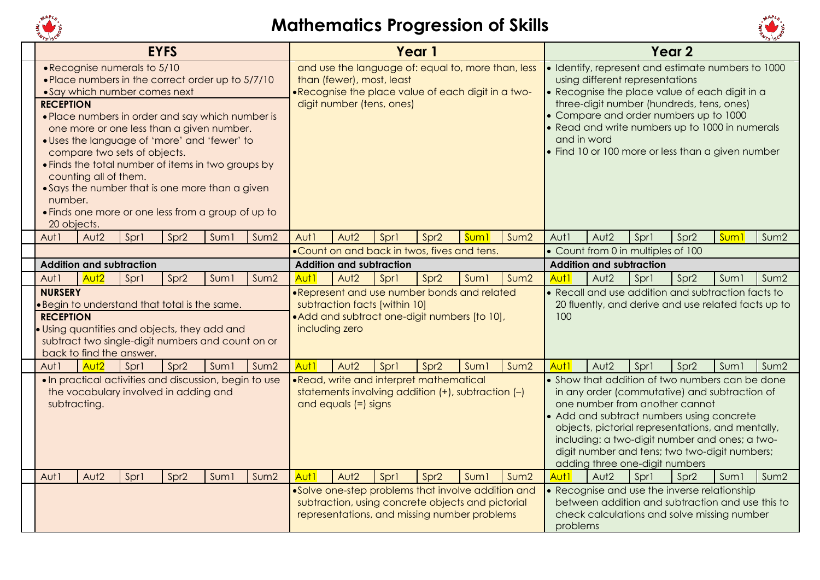



|                                            |                       |                                                                                               | <b>EYFS</b>      |                                                                                                                                                                                                                                                                                                                                                                   |                  |                  |                      |                                                                                                                                                                    | Year 1           |                  |                  |                  |                                    |      | Year <sub>2</sub>                                                                                                                                                                                                                                                                                                                       |                  |                  |
|--------------------------------------------|-----------------------|-----------------------------------------------------------------------------------------------|------------------|-------------------------------------------------------------------------------------------------------------------------------------------------------------------------------------------------------------------------------------------------------------------------------------------------------------------------------------------------------------------|------------------|------------------|----------------------|--------------------------------------------------------------------------------------------------------------------------------------------------------------------|------------------|------------------|------------------|------------------|------------------------------------|------|-----------------------------------------------------------------------------------------------------------------------------------------------------------------------------------------------------------------------------------------------------------------------------------------------------------------------------------------|------------------|------------------|
| <b>RECEPTION</b><br>number.<br>20 objects. | counting all of them. | . Recognise numerals to 5/10<br>• Say which number comes next<br>compare two sets of objects. |                  | . Place numbers in the correct order up to 5/7/10<br>• Place numbers in order and say which number is<br>one more or one less than a given number.<br>· Uses the language of 'more' and 'fewer' to<br>. Finds the total number of items in two groups by<br>• Says the number that is one more than a given<br>• Finds one more or one less from a group of up to |                  |                  |                      | and use the language of: equal to, more than, less<br>than (fewer), most, least<br>.Recognise the place value of each digit in a two-<br>digit number (tens, ones) |                  |                  |                  | and in word      | using different representations    |      | · Identify, represent and estimate numbers to 1000<br>• Recognise the place value of each digit in a<br>three-digit number (hundreds, tens, ones)<br>• Compare and order numbers up to 1000<br>• Read and write numbers up to 1000 in numerals<br>• Find 10 or 100 more or less than a given number                                     |                  |                  |
| Aut1                                       | Aut <sub>2</sub>      | Sprl                                                                                          | Spr <sub>2</sub> | Sum <sub>1</sub>                                                                                                                                                                                                                                                                                                                                                  | Sum2             | Aut1             | Aut <sub>2</sub>     | Sprl                                                                                                                                                               | Spr <sub>2</sub> | Sum <sup>1</sup> | Sum <sub>2</sub> | Aut1             | Aut <sub>2</sub>                   | Spr1 | Spr <sub>2</sub>                                                                                                                                                                                                                                                                                                                        | Sum <sub>1</sub> | Sum2             |
|                                            |                       |                                                                                               |                  |                                                                                                                                                                                                                                                                                                                                                                   |                  |                  |                      | .Count on and back in twos, fives and tens.                                                                                                                        |                  |                  |                  |                  | • Count from 0 in multiples of 100 |      |                                                                                                                                                                                                                                                                                                                                         |                  |                  |
|                                            |                       | <b>Addition and subtraction</b>                                                               |                  |                                                                                                                                                                                                                                                                                                                                                                   |                  |                  |                      | <b>Addition and subtraction</b>                                                                                                                                    |                  |                  |                  |                  | <b>Addition and subtraction</b>    |      |                                                                                                                                                                                                                                                                                                                                         |                  |                  |
| Aut1                                       | Aut <sub>2</sub>      | Sprl                                                                                          | Spr <sub>2</sub> | Sum <sub>1</sub>                                                                                                                                                                                                                                                                                                                                                  | Sum <sub>2</sub> | Aut <sub>1</sub> | Aut <sub>2</sub>     | Spr1                                                                                                                                                               | Spr <sub>2</sub> | Sum <sub>1</sub> | Sum <sub>2</sub> | Aut <sub>1</sub> | Aut <sub>2</sub>                   | Spr1 | Spr <sub>2</sub>                                                                                                                                                                                                                                                                                                                        | Sum1             | Sum <sub>2</sub> |
| <b>NURSERY</b><br><b>RECEPTION</b>         |                       | back to find the answer.                                                                      |                  | . Begin to understand that total is the same.<br>. Using quantities and objects, they add and<br>subtract two single-digit numbers and count on or                                                                                                                                                                                                                |                  |                  | including zero       | .Represent and use number bonds and related<br>subtraction facts [within 10]<br>• Add and subtract one-digit numbers [to 10],                                      |                  |                  |                  | 100              |                                    |      | • Recall and use addition and subtraction facts to<br>20 fluently, and derive and use related facts up to                                                                                                                                                                                                                               |                  |                  |
| Aut1                                       | Aut <sub>2</sub>      | Spr1                                                                                          | Spr <sub>2</sub> | Sum <sub>1</sub>                                                                                                                                                                                                                                                                                                                                                  | Sum <sub>2</sub> | Aut <sub>1</sub> | Aut <sub>2</sub>     | Spr1                                                                                                                                                               | Spr <sub>2</sub> | Suml             | Sum <sub>2</sub> | Aut <sub>1</sub> | Aut <sub>2</sub>                   | Spr1 | Spr <sub>2</sub>                                                                                                                                                                                                                                                                                                                        | Sum <sub>1</sub> | Sum <sub>2</sub> |
| subtracting.                               |                       | the vocabulary involved in adding and                                                         |                  | . In practical activities and discussion, begin to use                                                                                                                                                                                                                                                                                                            |                  |                  | and equals (=) signs | .Read, write and interpret mathematical<br>statements involving addition $(+)$ , subtraction $(-)$                                                                 |                  |                  |                  |                  | adding three one-digit numbers     |      | • Show that addition of two numbers can be done<br>in any order (commutative) and subtraction of<br>one number from another cannot<br>• Add and subtract numbers using concrete<br>objects, pictorial representations, and mentally,<br>including: a two-digit number and ones; a two-<br>digit number and tens; two two-digit numbers; |                  |                  |
| Aut1                                       | Aut <sub>2</sub>      | Sprl                                                                                          | Spr <sub>2</sub> | Sum <sub>1</sub>                                                                                                                                                                                                                                                                                                                                                  | Sum2             | Aut <sub>1</sub> | Aut <sub>2</sub>     | Sprl                                                                                                                                                               | Spr <sub>2</sub> | Suml             | Sum <sub>2</sub> | Aut1             | Aut <sub>2</sub>                   | Spr1 | Spr <sub>2</sub>                                                                                                                                                                                                                                                                                                                        | Suml             | Sum2             |
|                                            |                       |                                                                                               |                  |                                                                                                                                                                                                                                                                                                                                                                   |                  |                  |                      | •Solve one-step problems that involve addition and<br>subtraction, using concrete objects and pictorial<br>representations, and missing number problems            |                  |                  |                  | problems         |                                    |      | • Recognise and use the inverse relationship<br>between addition and subtraction and use this to<br>check calculations and solve missing number                                                                                                                                                                                         |                  |                  |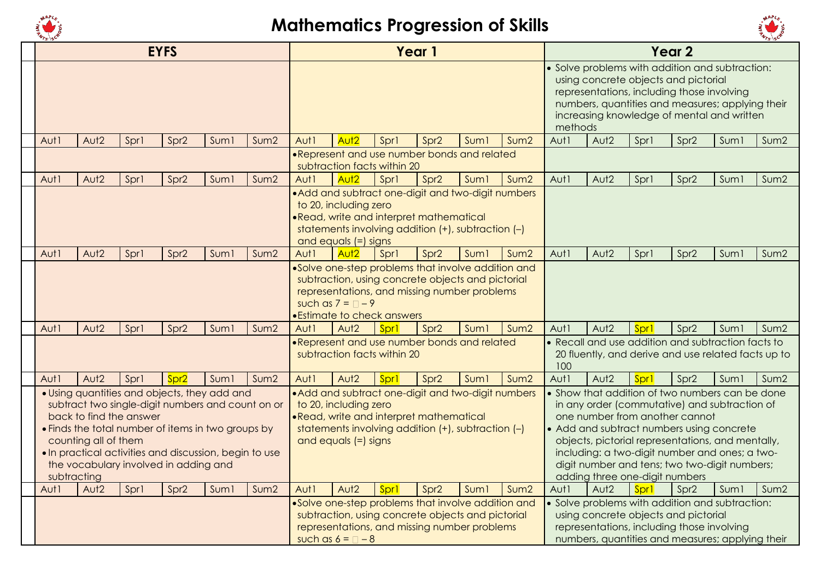



|      |                                     |                         | <b>EYFS</b>                                                                                                                                                                                                                                                |                  |                  |      |                                                 |                                  | Year 1                                                                                                                                                  |                  |                  |         |                                |      | Year <sub>2</sub>                                                                                                                                                                                                                                                                                                                       |                  |                  |
|------|-------------------------------------|-------------------------|------------------------------------------------------------------------------------------------------------------------------------------------------------------------------------------------------------------------------------------------------------|------------------|------------------|------|-------------------------------------------------|----------------------------------|---------------------------------------------------------------------------------------------------------------------------------------------------------|------------------|------------------|---------|--------------------------------|------|-----------------------------------------------------------------------------------------------------------------------------------------------------------------------------------------------------------------------------------------------------------------------------------------------------------------------------------------|------------------|------------------|
|      |                                     |                         |                                                                                                                                                                                                                                                            |                  |                  |      |                                                 |                                  |                                                                                                                                                         |                  |                  | methods |                                |      | · Solve problems with addition and subtraction:<br>using concrete objects and pictorial<br>representations, including those involving<br>numbers, quantities and measures; applying their<br>increasing knowledge of mental and written                                                                                                 |                  |                  |
| Aut1 | Aut <sub>2</sub>                    | Sprl                    | Spr <sub>2</sub>                                                                                                                                                                                                                                           | Suml             | Sum <sub>2</sub> | Aut1 | Aut <sub>2</sub>                                | Sprl                             | Spr <sub>2</sub>                                                                                                                                        | Sum <sub>1</sub> | Sum2             | Aut1    | Aut <sub>2</sub>               | Spr1 | Spr <sub>2</sub>                                                                                                                                                                                                                                                                                                                        | Suml             | Sum2             |
|      |                                     |                         |                                                                                                                                                                                                                                                            |                  |                  |      |                                                 | subtraction facts within 20      | .Represent and use number bonds and related                                                                                                             |                  |                  |         |                                |      |                                                                                                                                                                                                                                                                                                                                         |                  |                  |
| Aut1 | Aut2                                | Spr1                    | Spr <sub>2</sub>                                                                                                                                                                                                                                           | Suml             | Sum2             | Aut1 | Aut <sub>2</sub>                                | Sprl                             | Spr <sub>2</sub>                                                                                                                                        | Sum <sub>1</sub> | Sum <sub>2</sub> | Aut1    | Aut <sub>2</sub>               | Spr1 | Spr <sub>2</sub>                                                                                                                                                                                                                                                                                                                        | Sum1             | Sum2             |
|      |                                     |                         |                                                                                                                                                                                                                                                            |                  |                  |      | to 20, including zero<br>and equals (=) signs   |                                  | • Add and subtract one-digit and two-digit numbers<br>.Read, write and interpret mathematical<br>statements involving addition (+), subtraction (-)     |                  |                  |         |                                |      |                                                                                                                                                                                                                                                                                                                                         |                  |                  |
| Aut1 | Aut <sub>2</sub>                    | Sprl                    | Spr <sub>2</sub>                                                                                                                                                                                                                                           | Sum <sub>1</sub> | Sum2             | Aut1 | Aut <sub>2</sub>                                | Sprl                             | Spr <sub>2</sub>                                                                                                                                        | Suml             | Sum <sub>2</sub> | Aut1    | Aut <sub>2</sub>               | Spr1 | Spr <sub>2</sub>                                                                                                                                                                                                                                                                                                                        | Suml             | Sum <sub>2</sub> |
|      |                                     |                         |                                                                                                                                                                                                                                                            |                  |                  |      | such as $7 = 7 - 9$                             | <b>Estimate to check answers</b> | •Solve one-step problems that involve addition and<br>subtraction, using concrete objects and pictorial<br>representations, and missing number problems |                  |                  |         |                                |      |                                                                                                                                                                                                                                                                                                                                         |                  |                  |
| Aut1 | Aut <sub>2</sub>                    | Sprl                    | Spr <sub>2</sub>                                                                                                                                                                                                                                           | Suml             | Sum2             | Aut1 | Aut <sub>2</sub>                                | Spr1                             | Spr <sub>2</sub>                                                                                                                                        | Sum <sub>1</sub> | Sum2             | Aut1    | Aut <sub>2</sub>               | Spr1 | Spr <sub>2</sub>                                                                                                                                                                                                                                                                                                                        | Sum1             | Sum <sub>2</sub> |
|      |                                     |                         |                                                                                                                                                                                                                                                            |                  |                  |      |                                                 | subtraction facts within 20      | ·Represent and use number bonds and related                                                                                                             |                  |                  | 100     |                                |      | • Recall and use addition and subtraction facts to<br>20 fluently, and derive and use related facts up to                                                                                                                                                                                                                               |                  |                  |
| Aut1 | Aut2                                | Sprl                    | Spr <sub>2</sub>                                                                                                                                                                                                                                           | Suml             | Sum2             | Aut1 | Aut <sub>2</sub>                                | Spr1                             | Spr <sub>2</sub>                                                                                                                                        | Sum <sub>1</sub> | Sum2             | Aut1    | Aut <sub>2</sub>               | Sprl | Spr <sub>2</sub>                                                                                                                                                                                                                                                                                                                        | Sum1             | Sum2             |
|      | counting all of them<br>subtracting | back to find the answer | . Using quantities and objects, they add and<br>subtract two single-digit numbers and count on or<br>• Finds the total number of items in two groups by<br>. In practical activities and discussion, begin to use<br>the vocabulary involved in adding and |                  |                  |      | to 20, including zero<br>and equals $(=)$ signs |                                  | . Add and subtract one-digit and two-digit numbers<br>·Read, write and interpret mathematical<br>statements involving addition (+), subtraction (-)     |                  |                  |         | adding three one-digit numbers |      | • Show that addition of two numbers can be done<br>in any order (commutative) and subtraction of<br>one number from another cannot<br>• Add and subtract numbers using concrete<br>objects, pictorial representations, and mentally,<br>including: a two-digit number and ones; a two-<br>digit number and tens; two two-digit numbers; |                  |                  |
| Aut1 | Aut <sub>2</sub>                    | Sprl                    | Spr <sub>2</sub>                                                                                                                                                                                                                                           | Suml             | Sum <sub>2</sub> | Aut1 | Aut <sub>2</sub>                                | Sprl                             | Spr <sub>2</sub>                                                                                                                                        | Suml             | Sum2             | Aut1    | Aut <sub>2</sub>               | Sprl | Spr <sub>2</sub>                                                                                                                                                                                                                                                                                                                        | Sum <sub>1</sub> | Sum2             |
|      |                                     |                         |                                                                                                                                                                                                                                                            |                  |                  |      | such as $6 = \square - 8$                       |                                  | •Solve one-step problems that involve addition and<br>subtraction, using concrete objects and pictorial<br>representations, and missing number problems |                  |                  |         |                                |      | • Solve problems with addition and subtraction:<br>using concrete objects and pictorial<br>representations, including those involving<br>numbers, quantities and measures; applying their                                                                                                                                               |                  |                  |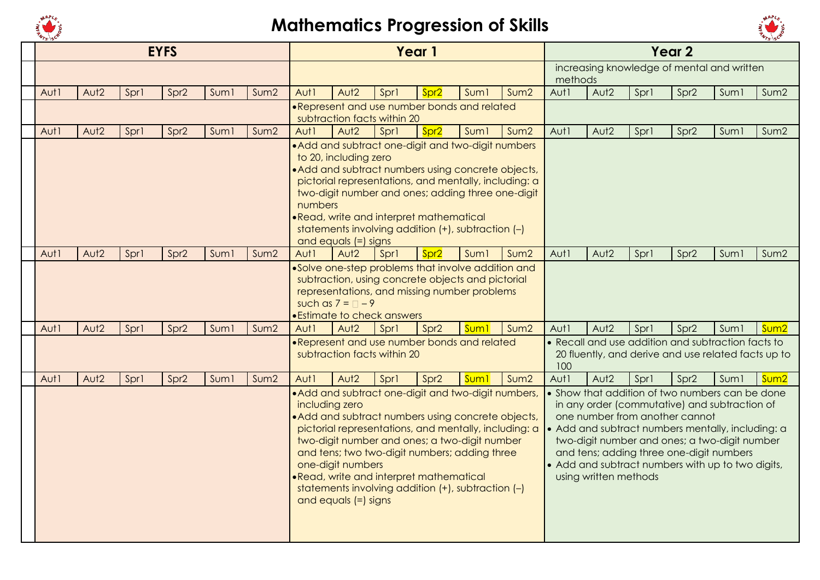



|      |                  |      | <b>EYFS</b>      |                  |                  |                  |                                               |                                         | Year 1           |                                                                                                                                                                                                                                                                                                                            |      |         |                                                         |      | Year <sub>2</sub> |                                                                                                                                                                                                                                                                                                         |                  |
|------|------------------|------|------------------|------------------|------------------|------------------|-----------------------------------------------|-----------------------------------------|------------------|----------------------------------------------------------------------------------------------------------------------------------------------------------------------------------------------------------------------------------------------------------------------------------------------------------------------------|------|---------|---------------------------------------------------------|------|-------------------|---------------------------------------------------------------------------------------------------------------------------------------------------------------------------------------------------------------------------------------------------------------------------------------------------------|------------------|
|      |                  |      |                  |                  |                  |                  |                                               |                                         |                  |                                                                                                                                                                                                                                                                                                                            |      | methods |                                                         |      |                   | increasing knowledge of mental and written                                                                                                                                                                                                                                                              |                  |
| Aut1 | Aut <sub>2</sub> | Sprl | Spr <sub>2</sub> | Sum <sub>1</sub> | Sum <sub>2</sub> | Aut1             | Aut <sub>2</sub>                              | Sprl                                    | Spr <sub>2</sub> | Suml                                                                                                                                                                                                                                                                                                                       | Sum2 | Aut1    | Aut <sub>2</sub>                                        | Spr1 | Spr <sub>2</sub>  | Suml                                                                                                                                                                                                                                                                                                    | Sum2             |
|      |                  |      |                  |                  |                  |                  |                                               | subtraction facts within 20             |                  | .Represent and use number bonds and related                                                                                                                                                                                                                                                                                |      |         |                                                         |      |                   |                                                                                                                                                                                                                                                                                                         |                  |
| Aut1 | Aut <sub>2</sub> | Sprl | Spr <sub>2</sub> | Suml             | Sum2             | Aut1             | Aut <sub>2</sub>                              | Sprl                                    | Spr <sub>2</sub> | Sum <sub>1</sub>                                                                                                                                                                                                                                                                                                           | Sum2 | Aut1    | Aut <sub>2</sub>                                        | Spr1 | Spr <sub>2</sub>  | Sum1                                                                                                                                                                                                                                                                                                    | Sum2             |
|      |                  |      |                  |                  |                  | numbers          | to 20, including zero<br>and equals (=) signs | ·Read, write and interpret mathematical |                  | • Add and subtract one-digit and two-digit numbers<br>• Add and subtract numbers using concrete objects,<br>pictorial representations, and mentally, including: a<br>two-digit number and ones; adding three one-digit<br>statements involving addition (+), subtraction (-)                                               |      |         |                                                         |      |                   |                                                                                                                                                                                                                                                                                                         |                  |
| Aut1 | Aut <sub>2</sub> | Sprl | Spr <sub>2</sub> | Sum <sub>1</sub> | Sum <sub>2</sub> | Aut1             | Aut <sub>2</sub>                              | Spr1                                    | Spr <sub>2</sub> | Suml                                                                                                                                                                                                                                                                                                                       | Sum2 | Aut1    | Aut <sub>2</sub>                                        | Spr1 | Spr <sub>2</sub>  | Sum <sub>1</sub>                                                                                                                                                                                                                                                                                        | Sum2             |
|      |                  |      |                  |                  |                  |                  | such as $7 = 7 - 9$                           | • Estimate to check answers             |                  | .Solve one-step problems that involve addition and<br>subtraction, using concrete objects and pictorial<br>representations, and missing number problems                                                                                                                                                                    |      |         |                                                         |      |                   |                                                                                                                                                                                                                                                                                                         |                  |
| Aut1 | Aut <sub>2</sub> | Sprl | Spr <sub>2</sub> | Sum <sub>1</sub> | Sum2             | Aut1             | Aut <sub>2</sub>                              | Sprl                                    | Spr <sub>2</sub> | Sum1                                                                                                                                                                                                                                                                                                                       | Sum2 | Aut1    | Aut <sub>2</sub>                                        | Spr1 | Spr <sub>2</sub>  | Sum <sub>1</sub>                                                                                                                                                                                                                                                                                        | Sum <sub>2</sub> |
|      |                  |      |                  |                  |                  |                  |                                               | subtraction facts within 20             |                  | . Represent and use number bonds and related                                                                                                                                                                                                                                                                               |      | 100     |                                                         |      |                   | • Recall and use addition and subtraction facts to<br>20 fluently, and derive and use related facts up to                                                                                                                                                                                               |                  |
| Aut1 | Aut <sub>2</sub> | Sprl | Spr <sub>2</sub> | Sum <sub>1</sub> | Sum2             | Aut <sub>1</sub> | Aut <sub>2</sub>                              | Spr1                                    | Spr <sub>2</sub> | Sum <sub>1</sub>                                                                                                                                                                                                                                                                                                           | Sum2 | Aut1    | Aut <sub>2</sub>                                        | Spr1 | Spr <sub>2</sub>  | Suml                                                                                                                                                                                                                                                                                                    | Sum <sub>2</sub> |
|      |                  |      |                  |                  |                  | including zero   | one-digit numbers<br>and equals (=) signs     | .Read, write and interpret mathematical |                  | • Add and subtract one-digit and two-digit numbers,<br>• Add and subtract numbers using concrete objects,<br>pictorial representations, and mentally, including: a<br>two-digit number and ones; a two-digit number<br>and tens; two two-digit numbers; adding three<br>statements involving addition (+), subtraction (-) |      |         | one number from another cannot<br>using written methods |      |                   | • Show that addition of two numbers can be done<br>in any order (commutative) and subtraction of<br>• Add and subtract numbers mentally, including: a<br>two-digit number and ones; a two-digit number<br>and tens; adding three one-digit numbers<br>• Add and subtract numbers with up to two digits, |                  |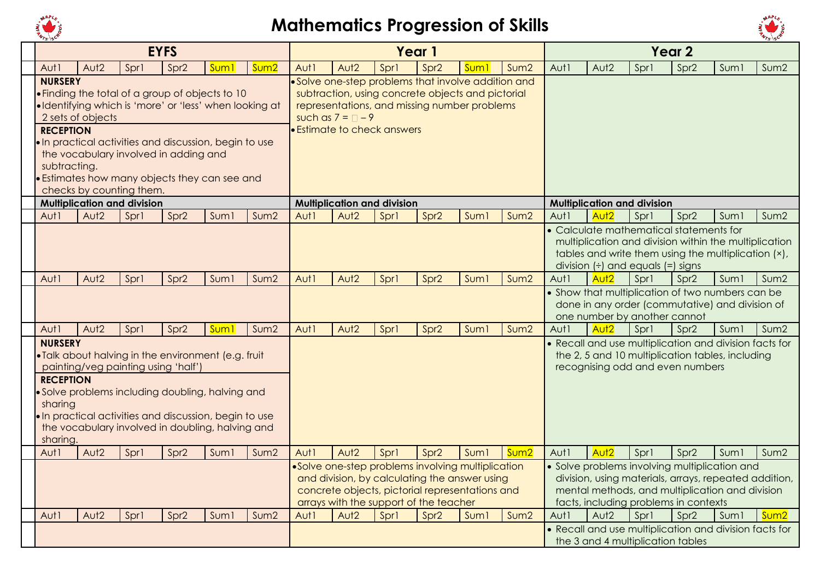



|                  |                   |                                     | <b>EYFS</b>                           |                                                        |                  |      |                     |                                                     | Year 1           |                  |                  |      |                                                              |      | Year <sub>2</sub>                                                                                   |                  |                  |
|------------------|-------------------|-------------------------------------|---------------------------------------|--------------------------------------------------------|------------------|------|---------------------|-----------------------------------------------------|------------------|------------------|------------------|------|--------------------------------------------------------------|------|-----------------------------------------------------------------------------------------------------|------------------|------------------|
| Aut1             | Aut <sub>2</sub>  | Spr1                                | Spr <sub>2</sub>                      | Sum                                                    | Sum <sub>2</sub> | Aut1 | Aut <sub>2</sub>    | Spr1                                                | Spr <sub>2</sub> | Sum              | Sum <sub>2</sub> | Aut1 | Aut <sub>2</sub>                                             | Spr1 | Spr <sub>2</sub>                                                                                    | Suml             | Sum2             |
| <b>NURSERY</b>   |                   |                                     |                                       |                                                        |                  |      |                     | • Solve one-step problems that involve addition and |                  |                  |                  |      |                                                              |      |                                                                                                     |                  |                  |
|                  |                   |                                     |                                       | . Finding the total of a group of objects to 10        |                  |      |                     | subtraction, using concrete objects and pictorial   |                  |                  |                  |      |                                                              |      |                                                                                                     |                  |                  |
|                  |                   |                                     |                                       | ·Identifying which is 'more' or 'less' when looking at |                  |      |                     | representations, and missing number problems        |                  |                  |                  |      |                                                              |      |                                                                                                     |                  |                  |
|                  | 2 sets of objects |                                     |                                       |                                                        |                  |      | such as $7 = 7 - 9$ |                                                     |                  |                  |                  |      |                                                              |      |                                                                                                     |                  |                  |
| <b>RECEPTION</b> |                   |                                     |                                       |                                                        |                  |      |                     | <b>Estimate to check answers</b>                    |                  |                  |                  |      |                                                              |      |                                                                                                     |                  |                  |
|                  |                   |                                     |                                       | . In practical activities and discussion, begin to use |                  |      |                     |                                                     |                  |                  |                  |      |                                                              |      |                                                                                                     |                  |                  |
| subtracting.     |                   |                                     | the vocabulary involved in adding and |                                                        |                  |      |                     |                                                     |                  |                  |                  |      |                                                              |      |                                                                                                     |                  |                  |
|                  |                   |                                     |                                       | <b>•</b> Estimates how many objects they can see and   |                  |      |                     |                                                     |                  |                  |                  |      |                                                              |      |                                                                                                     |                  |                  |
|                  |                   | checks by counting them.            |                                       |                                                        |                  |      |                     |                                                     |                  |                  |                  |      |                                                              |      |                                                                                                     |                  |                  |
|                  |                   | <b>Multiplication and division</b>  |                                       |                                                        |                  |      |                     | <b>Multiplication and division</b>                  |                  |                  |                  |      | <b>Multiplication and division</b>                           |      |                                                                                                     |                  |                  |
| Aut1             | Aut <sub>2</sub>  | Sprl                                | Spr <sub>2</sub>                      | Sum <sub>1</sub>                                       | Sum <sub>2</sub> | Aut1 | Aut <sub>2</sub>    | Spr1                                                | Spr <sub>2</sub> | Sum <sub>1</sub> | Sum <sub>2</sub> | Aut1 | Aut <sub>2</sub>                                             | Spr1 | Spr <sub>2</sub>                                                                                    | Suml             | Sum <sub>2</sub> |
|                  |                   |                                     |                                       |                                                        |                  |      |                     |                                                     |                  |                  |                  |      |                                                              |      | • Calculate mathematical statements for                                                             |                  |                  |
|                  |                   |                                     |                                       |                                                        |                  |      |                     |                                                     |                  |                  |                  |      |                                                              |      | multiplication and division within the multiplication                                               |                  |                  |
|                  |                   |                                     |                                       |                                                        |                  |      |                     |                                                     |                  |                  |                  |      |                                                              |      | tables and write them using the multiplication (x),                                                 |                  |                  |
|                  |                   |                                     |                                       |                                                        |                  |      |                     |                                                     |                  |                  |                  |      | division $(\div)$ and equals $(=)$ signs<br>Aut <sub>2</sub> |      |                                                                                                     |                  |                  |
| Aut1             | Aut <sub>2</sub>  | Spr1                                | Spr <sub>2</sub>                      | Sum <sub>1</sub>                                       | Sum2             | Aut1 | Aut <sub>2</sub>    | Spr1                                                | Spr <sub>2</sub> | Sum <sub>1</sub> | Sum <sub>2</sub> | Aut1 |                                                              | Spr1 | Spr <sub>2</sub>                                                                                    | Sum1             | Sum2             |
|                  |                   |                                     |                                       |                                                        |                  |      |                     |                                                     |                  |                  |                  |      |                                                              |      | • Show that multiplication of two numbers can be<br>done in any order (commutative) and division of |                  |                  |
|                  |                   |                                     |                                       |                                                        |                  |      |                     |                                                     |                  |                  |                  |      | one number by another cannot                                 |      |                                                                                                     |                  |                  |
| Aut1             | Aut <sub>2</sub>  | Sprl                                | Spr <sub>2</sub>                      | Sum <sub>1</sub>                                       | Sum2             | Aut1 | Aut <sub>2</sub>    | Spr1                                                | Spr <sub>2</sub> | <b>Sum1</b>      | Sum2             | Aut1 | Aut <sub>2</sub>                                             | Spr1 | Spr <sub>2</sub>                                                                                    | Sum1             | Sum2             |
| <b>NURSERY</b>   |                   |                                     |                                       |                                                        |                  |      |                     |                                                     |                  |                  |                  |      |                                                              |      | • Recall and use multiplication and division facts for                                              |                  |                  |
|                  |                   |                                     |                                       | . Talk about halving in the environment (e.g. fruit    |                  |      |                     |                                                     |                  |                  |                  |      |                                                              |      | the 2, 5 and 10 multiplication tables, including                                                    |                  |                  |
|                  |                   | painting/veg painting using 'half') |                                       |                                                        |                  |      |                     |                                                     |                  |                  |                  |      |                                                              |      | recognising odd and even numbers                                                                    |                  |                  |
| <b>RECEPTION</b> |                   |                                     |                                       |                                                        |                  |      |                     |                                                     |                  |                  |                  |      |                                                              |      |                                                                                                     |                  |                  |
| sharing          |                   |                                     |                                       | • Solve problems including doubling, halving and       |                  |      |                     |                                                     |                  |                  |                  |      |                                                              |      |                                                                                                     |                  |                  |
|                  |                   |                                     |                                       | . In practical activities and discussion, begin to use |                  |      |                     |                                                     |                  |                  |                  |      |                                                              |      |                                                                                                     |                  |                  |
|                  |                   |                                     |                                       | the vocabulary involved in doubling, halving and       |                  |      |                     |                                                     |                  |                  |                  |      |                                                              |      |                                                                                                     |                  |                  |
| sharing.         |                   |                                     |                                       |                                                        |                  |      |                     |                                                     |                  |                  |                  |      |                                                              |      |                                                                                                     |                  |                  |
| Aut1             | Aut <sub>2</sub>  | Spr1                                | Spr <sub>2</sub>                      | Suml                                                   | Sum2             | Aut1 | Aut <sub>2</sub>    | Spr1                                                | Spr <sub>2</sub> | Suml             | Sum <sub>2</sub> | Aut1 | Aut <sub>2</sub>                                             | Sprl | Spr <sub>2</sub>                                                                                    | Sum <sub>1</sub> | Sum2             |
|                  |                   |                                     |                                       |                                                        |                  |      |                     | ·Solve one-step problems involving multiplication   |                  |                  |                  |      |                                                              |      | • Solve problems involving multiplication and                                                       |                  |                  |
|                  |                   |                                     |                                       |                                                        |                  |      |                     | and division, by calculating the answer using       |                  |                  |                  |      |                                                              |      | division, using materials, arrays, repeated addition,                                               |                  |                  |
|                  |                   |                                     |                                       |                                                        |                  |      |                     | concrete objects, pictorial representations and     |                  |                  |                  |      |                                                              |      | mental methods, and multiplication and division                                                     |                  |                  |
| Aut1             | Aut <sub>2</sub>  | Spr1                                | Spr <sub>2</sub>                      | Sum <sub>1</sub>                                       | Sum <sub>2</sub> | Aut1 | Aut <sub>2</sub>    | arrays with the support of the teacher<br>Spr1      | Spr <sub>2</sub> | Sum <sub>1</sub> | Sum2             | Aut1 | Aut <sub>2</sub>                                             | Sprl | facts, including problems in contexts<br>Spr <sub>2</sub>                                           | Sum1             | Sum <sub>2</sub> |
|                  |                   |                                     |                                       |                                                        |                  |      |                     |                                                     |                  |                  |                  |      |                                                              |      | • Recall and use multiplication and division facts for                                              |                  |                  |
|                  |                   |                                     |                                       |                                                        |                  |      |                     |                                                     |                  |                  |                  |      | the 3 and 4 multiplication tables                            |      |                                                                                                     |                  |                  |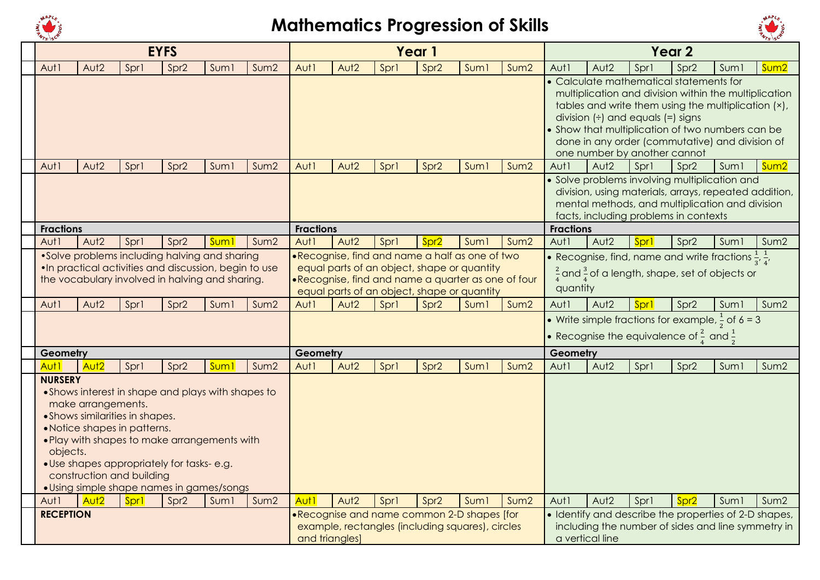



|                            |                    |                                                                                              | <b>EYFS</b>                                                                                                                                                                                  |                  |                  |                  |                  |                                                                                                                                                                                                    | Year 1           |                  |                  |                  |                                                                          |      | Year <sub>2</sub>                                                                                                                                                                                                                                              |                  |                  |
|----------------------------|--------------------|----------------------------------------------------------------------------------------------|----------------------------------------------------------------------------------------------------------------------------------------------------------------------------------------------|------------------|------------------|------------------|------------------|----------------------------------------------------------------------------------------------------------------------------------------------------------------------------------------------------|------------------|------------------|------------------|------------------|--------------------------------------------------------------------------|------|----------------------------------------------------------------------------------------------------------------------------------------------------------------------------------------------------------------------------------------------------------------|------------------|------------------|
| Aut1                       | Aut <sub>2</sub>   | Spr1                                                                                         | Spr <sub>2</sub>                                                                                                                                                                             | Sum <sub>1</sub> | Sum <sub>2</sub> | Aut1             | Aut <sub>2</sub> | Sprl                                                                                                                                                                                               | Spr <sub>2</sub> | Sum <sub>1</sub> | Sum <sub>2</sub> | Aut1             | Aut <sub>2</sub>                                                         | Spr1 | Spr <sub>2</sub>                                                                                                                                                                                                                                               | Sum <sub>1</sub> | Sum <sub>2</sub> |
|                            |                    |                                                                                              |                                                                                                                                                                                              |                  |                  |                  |                  |                                                                                                                                                                                                    |                  |                  |                  |                  | division $(\div)$ and equals $(=)$ signs<br>one number by another cannot |      | • Calculate mathematical statements for<br>multiplication and division within the multiplication<br>tables and write them using the multiplication (x),<br>• Show that multiplication of two numbers can be<br>done in any order (commutative) and division of |                  |                  |
| Aut1                       | Aut <sub>2</sub>   | Spr1                                                                                         | Spr <sub>2</sub>                                                                                                                                                                             | Suml             | Sum2             | Aut1             | Aut <sub>2</sub> | Spr1                                                                                                                                                                                               | Spr <sub>2</sub> | Sum <sub>1</sub> | Sum2             | Aut1             | Aut <sub>2</sub>                                                         | Spr1 | Spr <sub>2</sub>                                                                                                                                                                                                                                               | Suml             | Sum <sub>2</sub> |
|                            |                    |                                                                                              |                                                                                                                                                                                              |                  |                  |                  |                  |                                                                                                                                                                                                    |                  |                  |                  |                  |                                                                          |      | • Solve problems involving multiplication and<br>division, using materials, arrays, repeated addition,<br>mental methods, and multiplication and division<br>facts, including problems in contexts                                                             |                  |                  |
| <b>Fractions</b>           |                    |                                                                                              |                                                                                                                                                                                              |                  |                  | <b>Fractions</b> |                  |                                                                                                                                                                                                    |                  |                  |                  | <b>Fractions</b> |                                                                          |      |                                                                                                                                                                                                                                                                |                  |                  |
| Aut1                       | Aut <sub>2</sub>   | Spr1                                                                                         | Spr <sub>2</sub>                                                                                                                                                                             | Sum              | Sum <sub>2</sub> | Aut1             | Aut <sub>2</sub> | Spr1                                                                                                                                                                                               | Spr2             | Suml             | Sum <sub>2</sub> | Aut1             | Aut <sub>2</sub>                                                         | Sprl | Spr <sub>2</sub>                                                                                                                                                                                                                                               | Suml             | Sum2             |
|                            |                    |                                                                                              | •Solve problems including halving and sharing<br>.In practical activities and discussion, begin to use<br>the vocabulary involved in halving and sharing.                                    |                  |                  |                  |                  | .Recognise, find and name a half as one of two<br>equal parts of an object, shape or quantity<br>·Recognise, find and name a quarter as one of four<br>equal parts of an object, shape or quantity |                  |                  |                  | quantity         |                                                                          |      | • Recognise, find, name and write fractions $\frac{1}{3}, \frac{1}{4}$ ,<br>$\frac{2}{4}$ and $\frac{3}{4}$ of a length, shape, set of objects or                                                                                                              |                  |                  |
| Aut1                       | Aut <sub>2</sub>   | Spr1                                                                                         | Spr <sub>2</sub>                                                                                                                                                                             | Suml             | Sum2             | Aut1             | Aut <sub>2</sub> | Spr1                                                                                                                                                                                               | Spr <sub>2</sub> | Sum <sub>1</sub> | Sum2             | Aut1             | Aut <sub>2</sub>                                                         | Sprl | Spr <sub>2</sub>                                                                                                                                                                                                                                               | Sum <sub>1</sub> | Sum2             |
|                            |                    |                                                                                              |                                                                                                                                                                                              |                  |                  |                  |                  |                                                                                                                                                                                                    |                  |                  |                  |                  |                                                                          |      | • Write simple fractions for example, $\frac{1}{2}$ of 6 = 3<br>• Recognise the equivalence of $\frac{2}{5}$ and $\frac{1}{5}$                                                                                                                                 |                  |                  |
| Geometry                   |                    |                                                                                              |                                                                                                                                                                                              |                  |                  | Geometry         |                  |                                                                                                                                                                                                    |                  |                  |                  | Geometry         |                                                                          |      |                                                                                                                                                                                                                                                                |                  |                  |
| Aut <sub>1</sub>           | Aut <sub>2</sub>   | Spr1                                                                                         | Spr <sub>2</sub>                                                                                                                                                                             | Sum <sub>1</sub> | Sum <sub>2</sub> | Aut1             | Aut <sub>2</sub> | Sprl                                                                                                                                                                                               | Spr <sub>2</sub> | Sum <sub>1</sub> | Sum2             | Aut1             | Aut <sub>2</sub>                                                         | Spr1 | Spr <sub>2</sub>                                                                                                                                                                                                                                               | Sum1             | Sum2             |
| <b>NURSERY</b><br>objects. | make arrangements. | • Shows similarities in shapes.<br>• Notice shapes in patterns.<br>construction and building | • Shows interest in shape and plays with shapes to<br>. Play with shapes to make arrangements with<br>• Use shapes appropriately for tasks-e.g.<br>• Using simple shape names in games/songs |                  |                  |                  |                  |                                                                                                                                                                                                    |                  |                  |                  |                  |                                                                          |      |                                                                                                                                                                                                                                                                |                  |                  |
| Aut1                       | Aut <sub>2</sub>   | Sprl                                                                                         | Spr <sub>2</sub>                                                                                                                                                                             | Suml             | Sum2             | Aut <sub>1</sub> | Aut <sub>2</sub> | Sprl                                                                                                                                                                                               | Spr <sub>2</sub> | Suml             | Sum2             | Aut1             | Aut <sub>2</sub>                                                         | Spr1 | Spr <sub>2</sub>                                                                                                                                                                                                                                               | Suml             | Sum2             |
| <b>RECEPTION</b>           |                    |                                                                                              |                                                                                                                                                                                              |                  |                  | and triangles]   |                  | . Recognise and name common 2-D shapes [for<br>example, rectangles (including squares), circles                                                                                                    |                  |                  |                  |                  | a vertical line                                                          |      | • Identify and describe the properties of 2-D shapes,<br>including the number of sides and line symmetry in                                                                                                                                                    |                  |                  |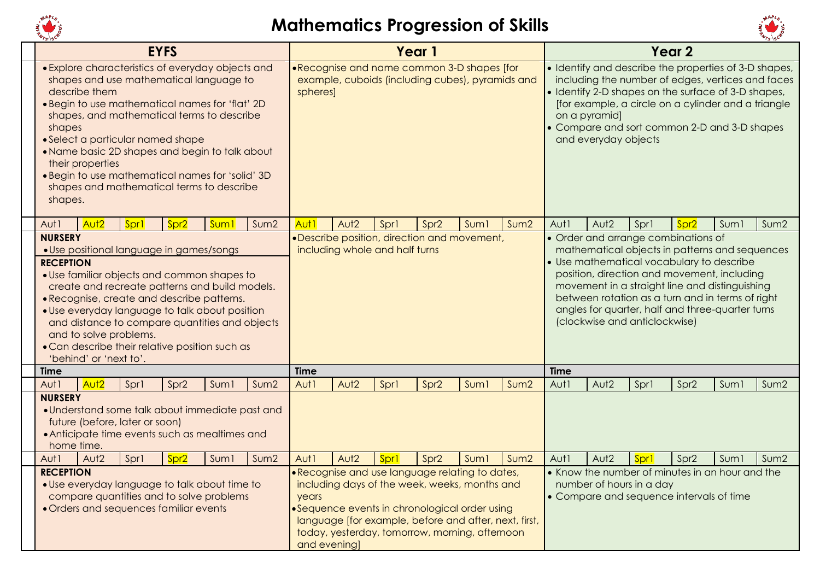



| 151197                       |                                                  |                                | <b>EYFS</b>                                                                                                                                                                                                                                                                                                                                                                           |                  |      |                       |                                |      | Year 1                                                                                                                                                                                                                                                       |                  |                  |                     |                                       |                                                                      | Year <sub>2</sub> |                                                                                                                                                                                                                                                                                                      | 15197            |
|------------------------------|--------------------------------------------------|--------------------------------|---------------------------------------------------------------------------------------------------------------------------------------------------------------------------------------------------------------------------------------------------------------------------------------------------------------------------------------------------------------------------------------|------------------|------|-----------------------|--------------------------------|------|--------------------------------------------------------------------------------------------------------------------------------------------------------------------------------------------------------------------------------------------------------------|------------------|------------------|---------------------|---------------------------------------|----------------------------------------------------------------------|-------------------|------------------------------------------------------------------------------------------------------------------------------------------------------------------------------------------------------------------------------------------------------------------------------------------------------|------------------|
| shapes<br>shapes.            | describe them<br>their properties                |                                | • Explore characteristics of everyday objects and<br>shapes and use mathematical language to<br>. Begin to use mathematical names for 'flat' 2D<br>shapes, and mathematical terms to describe<br>• Select a particular named shape<br>. Name basic 2D shapes and begin to talk about<br>. Begin to use mathematical names for 'solid' 3D<br>shapes and mathematical terms to describe |                  |      | spheres]              |                                |      | .Recognise and name common 3-D shapes [for<br>example, cuboids (including cubes), pyramids and                                                                                                                                                               |                  |                  |                     | on a pyramid]<br>and everyday objects |                                                                      |                   | • Identify and describe the properties of 3-D shapes,<br>including the number of edges, vertices and faces<br>• Identify 2-D shapes on the surface of 3-D shapes,<br>[for example, a circle on a cylinder and a triangle<br>• Compare and sort common 2-D and 3-D shapes                             |                  |
| Aut1<br><b>NURSERY</b>       | Aut <sub>2</sub>                                 | Sprl                           | Spr <sub>2</sub>                                                                                                                                                                                                                                                                                                                                                                      | Sum              | Sum2 | Aut <sub>1</sub>      | Aut <sub>2</sub>               | Spr1 | Spr <sub>2</sub><br>•Describe position, direction and movement,                                                                                                                                                                                              | Suml             | Sum <sub>2</sub> | Aut1                | Aut <sub>2</sub>                      | Spr1<br>• Order and arrange combinations of                          | Spr <sub>2</sub>  | Suml                                                                                                                                                                                                                                                                                                 | Sum2             |
| <b>RECEPTION</b>             | and to solve problems.<br>'behind' or 'next to'. |                                | · Use positional language in games/songs<br>• Use familiar objects and common shapes to<br>create and recreate patterns and build models.<br>• Recognise, create and describe patterns.<br>· Use everyday language to talk about position<br>and distance to compare quantities and objects<br>• Can describe their relative position such as                                         |                  |      |                       | including whole and half turns |      |                                                                                                                                                                                                                                                              |                  |                  |                     |                                       | (clockwise and anticlockwise)                                        |                   | mathematical objects in patterns and sequences<br>• Use mathematical vocabulary to describe<br>position, direction and movement, including<br>movement in a straight line and distinguishing<br>between rotation as a turn and in terms of right<br>angles for quarter, half and three-quarter turns |                  |
| <b>Time</b><br>Aut1          | Aut <sub>2</sub>                                 | Spr1                           | Spr <sub>2</sub>                                                                                                                                                                                                                                                                                                                                                                      | Suml             | Sum2 | <b>Time</b><br>Aut1   | Aut <sub>2</sub>               | Spr1 | Spr <sub>2</sub>                                                                                                                                                                                                                                             | Sum <sub>1</sub> | Sum <sub>2</sub> | <b>Time</b><br>Aut1 | Aut <sub>2</sub>                      | Spr1                                                                 | Spr <sub>2</sub>  | Suml                                                                                                                                                                                                                                                                                                 | Sum <sub>2</sub> |
| <b>NURSERY</b><br>home time. |                                                  | future (before, later or soon) | • Understand some talk about immediate past and<br>• Anticipate time events such as mealtimes and                                                                                                                                                                                                                                                                                     |                  |      |                       |                                |      |                                                                                                                                                                                                                                                              |                  |                  |                     |                                       |                                                                      |                   |                                                                                                                                                                                                                                                                                                      |                  |
| Aut1                         | Aut <sub>2</sub>                                 | Sprl                           | Spr <sub>2</sub>                                                                                                                                                                                                                                                                                                                                                                      | Sum <sub>1</sub> | Sum2 | Aut1                  | Aut <sub>2</sub>               | Sprl | Spr <sub>2</sub>                                                                                                                                                                                                                                             | Suml             | Sum2             | Aut1                | Aut <sub>2</sub>                      | Spr1                                                                 | Spr <sub>2</sub>  | Suml                                                                                                                                                                                                                                                                                                 | Sum <sub>2</sub> |
| <b>RECEPTION</b>             |                                                  |                                | • Use everyday language to talk about time to<br>compare quantities and to solve problems<br>• Orders and sequences familiar events                                                                                                                                                                                                                                                   |                  |      | years<br>and evening] |                                |      | • Recognise and use language relating to dates,<br>including days of the week, weeks, months and<br>•Sequence events in chronological order using<br>language [for example, before and after, next, first,<br>today, yesterday, tomorrow, morning, afternoon |                  |                  |                     |                                       | number of hours in a day<br>• Compare and sequence intervals of time |                   | • Know the number of minutes in an hour and the                                                                                                                                                                                                                                                      |                  |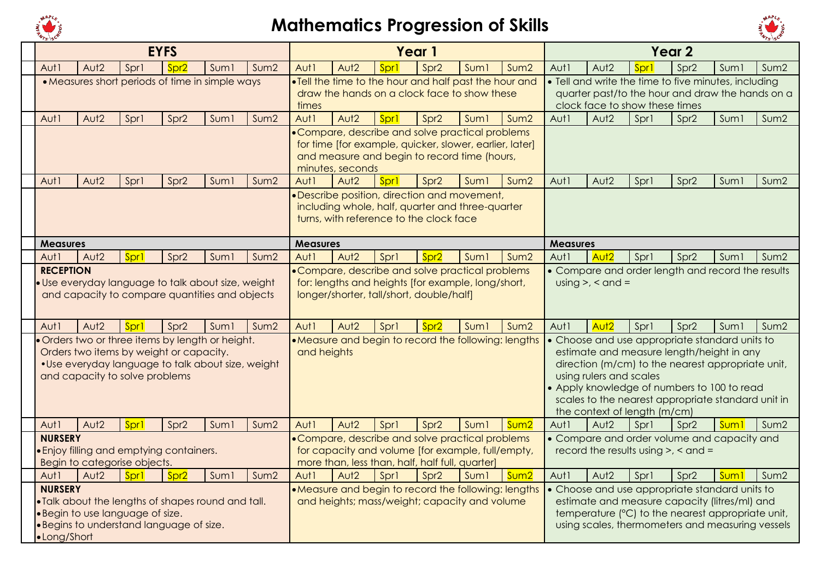



|                  |                  |                                  | <b>EYFS</b>                                        |                  |                  |                  |                  |                                                 | Year 1           |                                                                                                             |                  |                 |                                |      | Year <sub>2</sub>                                    |                  |                  |
|------------------|------------------|----------------------------------|----------------------------------------------------|------------------|------------------|------------------|------------------|-------------------------------------------------|------------------|-------------------------------------------------------------------------------------------------------------|------------------|-----------------|--------------------------------|------|------------------------------------------------------|------------------|------------------|
| Aut1             | Aut <sub>2</sub> | Spr1                             | Spr <sub>2</sub>                                   | Suml             | Sum <sub>2</sub> | Aut1             | Aut <sub>2</sub> | Spr1                                            | Spr <sub>2</sub> | Sum <sub>1</sub>                                                                                            | Sum2             | Aut1            | Aut <sub>2</sub>               | Spr1 | Spr <sub>2</sub>                                     | Sum <sub>1</sub> | Sum2             |
|                  |                  |                                  | • Measures short periods of time in simple ways    |                  |                  |                  |                  |                                                 |                  | . Tell the time to the hour and half past the hour and                                                      |                  |                 |                                |      | • Tell and write the time to five minutes, including |                  |                  |
|                  |                  |                                  |                                                    |                  |                  |                  |                  |                                                 |                  | draw the hands on a clock face to show these                                                                |                  |                 |                                |      | quarter past/to the hour and draw the hands on a     |                  |                  |
|                  |                  |                                  |                                                    |                  |                  | times            |                  |                                                 |                  |                                                                                                             |                  |                 | clock face to show these times |      |                                                      |                  |                  |
| Aut1             | Aut <sub>2</sub> | Spr1                             | Spr <sub>2</sub>                                   | Sum1             | Sum2             | Aut1             | Aut <sub>2</sub> | Spr1                                            | Spr <sub>2</sub> | Sum <sub>1</sub>                                                                                            | Sum <sub>2</sub> | Aut1            | Aut <sub>2</sub>               | Spr1 | Spr <sub>2</sub>                                     | Suml             | Sum2             |
|                  |                  |                                  |                                                    |                  |                  |                  |                  |                                                 |                  | • Compare, describe and solve practical problems<br>for time [for example, quicker, slower, earlier, later] |                  |                 |                                |      |                                                      |                  |                  |
|                  |                  |                                  |                                                    |                  |                  |                  |                  |                                                 |                  | and measure and begin to record time (hours,                                                                |                  |                 |                                |      |                                                      |                  |                  |
|                  |                  |                                  |                                                    |                  |                  |                  | minutes, seconds |                                                 |                  |                                                                                                             |                  |                 |                                |      |                                                      |                  |                  |
| Aut1             | Aut <sub>2</sub> | Spr1                             | Spr <sub>2</sub>                                   | Suml             | Sum2             | Aut1             | Aut <sub>2</sub> | Spr1                                            | Spr <sub>2</sub> | Suml                                                                                                        | Sum <sub>2</sub> | Aut1            | Aut <sub>2</sub>               | Spr1 | Spr <sub>2</sub>                                     | Sum1             | Sum2             |
|                  |                  |                                  |                                                    |                  |                  |                  |                  |                                                 |                  | • Describe position, direction and movement,                                                                |                  |                 |                                |      |                                                      |                  |                  |
|                  |                  |                                  |                                                    |                  |                  |                  |                  |                                                 |                  | including whole, half, quarter and three-quarter                                                            |                  |                 |                                |      |                                                      |                  |                  |
|                  |                  |                                  |                                                    |                  |                  |                  |                  | turns, with reference to the clock face         |                  |                                                                                                             |                  |                 |                                |      |                                                      |                  |                  |
| <b>Measures</b>  |                  |                                  |                                                    |                  |                  | <b>Measures</b>  |                  |                                                 |                  |                                                                                                             |                  | <b>Measures</b> |                                |      |                                                      |                  |                  |
| Aut1             | Aut <sub>2</sub> | Spr1                             | Spr <sub>2</sub>                                   | Sum <sub>1</sub> | Sum2             | Aut <sub>1</sub> | Aut <sub>2</sub> | Sprl                                            | Spr <sub>2</sub> | Sum <sub>1</sub>                                                                                            | Sum <sub>2</sub> | Aut1            | Aut <sub>2</sub>               | Spr1 | Spr <sub>2</sub>                                     | Suml             | Sum2             |
| <b>RECEPTION</b> |                  |                                  |                                                    |                  |                  |                  |                  |                                                 |                  | • Compare, describe and solve practical problems                                                            |                  |                 |                                |      | • Compare and order length and record the results    |                  |                  |
|                  |                  |                                  | · Use everyday language to talk about size, weight |                  |                  |                  |                  |                                                 |                  | for: lengths and heights [for example, long/short,                                                          |                  |                 | $using >, < and =$             |      |                                                      |                  |                  |
|                  |                  |                                  | and capacity to compare quantities and objects     |                  |                  |                  |                  | longer/shorter, tall/short, double/half]        |                  |                                                                                                             |                  |                 |                                |      |                                                      |                  |                  |
|                  |                  |                                  |                                                    |                  |                  |                  |                  |                                                 |                  |                                                                                                             |                  |                 |                                |      |                                                      |                  |                  |
| Aut1             | Aut <sub>2</sub> | Sprl                             | Spr <sub>2</sub>                                   | Suml             | Sum <sub>2</sub> | Aut1             | Aut <sub>2</sub> | Spr1                                            | Spr <sub>2</sub> | Sum <sub>1</sub>                                                                                            | Sum2             | Aut1            | Aut <sub>2</sub>               | Spr1 | Spr <sub>2</sub>                                     | Sum1             | Sum <sub>2</sub> |
|                  |                  |                                  | Orders two or three items by length or height.     |                  |                  |                  |                  |                                                 |                  | • Measure and begin to record the following: lengths                                                        |                  |                 |                                |      | • Choose and use appropriate standard units to       |                  |                  |
|                  |                  |                                  | Orders two items by weight or capacity.            |                  |                  | and heights      |                  |                                                 |                  |                                                                                                             |                  |                 |                                |      | estimate and measure length/height in any            |                  |                  |
|                  |                  | and capacity to solve problems   | . Use everyday language to talk about size, weight |                  |                  |                  |                  |                                                 |                  |                                                                                                             |                  |                 | using rulers and scales        |      | direction (m/cm) to the nearest appropriate unit,    |                  |                  |
|                  |                  |                                  |                                                    |                  |                  |                  |                  |                                                 |                  |                                                                                                             |                  |                 |                                |      | • Apply knowledge of numbers to 100 to read          |                  |                  |
|                  |                  |                                  |                                                    |                  |                  |                  |                  |                                                 |                  |                                                                                                             |                  |                 |                                |      | scales to the nearest appropriate standard unit in   |                  |                  |
|                  |                  |                                  |                                                    |                  |                  |                  |                  |                                                 |                  |                                                                                                             |                  |                 | the context of length (m/cm)   |      |                                                      |                  |                  |
| Aut1             | Aut <sub>2</sub> | Spr1                             | Spr <sub>2</sub>                                   | Suml             | Sum2             | Aut1             | Aut <sub>2</sub> | Spr1                                            | Spr <sub>2</sub> | Sum <sub>1</sub>                                                                                            | Sum <sub>2</sub> | Aut1            | Aut2                           | Spr1 | Spr <sub>2</sub>                                     | Sum <sub>1</sub> | Sum2             |
| <b>NURSERY</b>   |                  |                                  |                                                    |                  |                  |                  |                  |                                                 |                  | • Compare, describe and solve practical problems                                                            |                  |                 |                                |      | • Compare and order volume and capacity and          |                  |                  |
|                  |                  | Begin to categorise objects.     | · Enjoy filling and emptying containers.           |                  |                  |                  |                  | more than, less than, half, half full, quarter] |                  | for capacity and volume [for example, full/empty,                                                           |                  |                 |                                |      | record the results using $>$ , $<$ and $=$           |                  |                  |
| Aut1             | Aut <sub>2</sub> | Spr1                             | Spr <sub>2</sub>                                   | Suml             | Sum2             | Aut1             | Aut <sub>2</sub> | Spr1                                            | Spr <sub>2</sub> | Suml                                                                                                        | Sum <sub>2</sub> | Aut1            | Aut2                           | Spr1 | Spr <sub>2</sub>                                     | <b>Sum1</b>      | Sum <sub>2</sub> |
| <b>NURSERY</b>   |                  |                                  |                                                    |                  |                  |                  |                  |                                                 |                  | • Measure and begin to record the following: lengths                                                        |                  |                 |                                |      | • Choose and use appropriate standard units to       |                  |                  |
|                  |                  |                                  | . Talk about the lengths of shapes round and tall. |                  |                  |                  |                  |                                                 |                  | and heights; mass/weight; capacity and volume                                                               |                  |                 |                                |      | estimate and measure capacity (litres/ml) and        |                  |                  |
|                  |                  | · Begin to use language of size. |                                                    |                  |                  |                  |                  |                                                 |                  |                                                                                                             |                  |                 |                                |      | temperature (°C) to the nearest appropriate unit,    |                  |                  |
|                  |                  |                                  | ·Begins to understand language of size.            |                  |                  |                  |                  |                                                 |                  |                                                                                                             |                  |                 |                                |      | using scales, thermometers and measuring vessels     |                  |                  |
| •Long/Short      |                  |                                  |                                                    |                  |                  |                  |                  |                                                 |                  |                                                                                                             |                  |                 |                                |      |                                                      |                  |                  |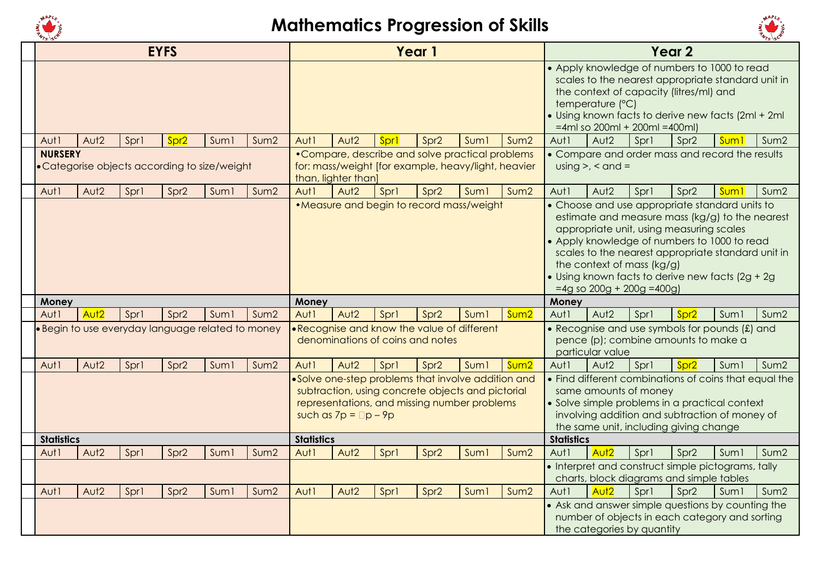



|                |                   |                                                   | <b>EYFS</b>      |                  |                  |                   |                            |                                  | Year 1           |                                                                                                                                                         |                  |                   |                                                            |      | Year <sub>2</sub>                                                                                                                                                                                                                                                                                        |                  |                  |
|----------------|-------------------|---------------------------------------------------|------------------|------------------|------------------|-------------------|----------------------------|----------------------------------|------------------|---------------------------------------------------------------------------------------------------------------------------------------------------------|------------------|-------------------|------------------------------------------------------------|------|----------------------------------------------------------------------------------------------------------------------------------------------------------------------------------------------------------------------------------------------------------------------------------------------------------|------------------|------------------|
|                |                   |                                                   |                  |                  |                  |                   |                            |                                  |                  |                                                                                                                                                         |                  |                   | temperature (°C)<br>$=$ 4ml so 200ml + 200ml = 400ml)      |      | • Apply knowledge of numbers to 1000 to read<br>scales to the nearest appropriate standard unit in<br>the context of capacity (litres/ml) and<br>. Using known facts to derive new facts (2ml + 2ml                                                                                                      |                  |                  |
| Aut1           | Aut <sub>2</sub>  | Spr1                                              | Spr <sub>2</sub> | Suml             | Sum <sub>2</sub> | Aut1              | Aut <sub>2</sub>           | Spr1                             | Spr <sub>2</sub> | Suml                                                                                                                                                    | Sum2             | Aut1              | Aut <sub>2</sub>                                           | Spr1 | Spr <sub>2</sub>                                                                                                                                                                                                                                                                                         | Sum <sup>1</sup> | Sum <sub>2</sub> |
| <b>NURSERY</b> |                   | • Categorise objects according to size/weight     |                  |                  |                  |                   | than, lighter than]        |                                  |                  | • Compare, describe and solve practical problems<br>for: mass/weight [for example, heavy/light, heavier                                                 |                  |                   | $using >, < and =$                                         |      | • Compare and order mass and record the results                                                                                                                                                                                                                                                          |                  |                  |
| Aut1           | Aut <sub>2</sub>  | Spr1                                              | Spr <sub>2</sub> | Sum <sub>1</sub> | Sum2             | Aut1              | Aut <sub>2</sub>           | Spr1                             | Spr <sub>2</sub> | Suml                                                                                                                                                    | Sum2             | Aut1              | Aut <sub>2</sub>                                           | Spr1 | Spr <sub>2</sub>                                                                                                                                                                                                                                                                                         | <b>Sum</b>       | Sum2             |
|                |                   |                                                   |                  |                  |                  |                   |                            |                                  |                  | • Measure and begin to record mass/weight                                                                                                               |                  |                   | the context of mass (kg/g)<br>$=4g$ so 200g + 200g = 400g) |      | • Choose and use appropriate standard units to<br>estimate and measure mass (kg/g) to the nearest<br>appropriate unit, using measuring scales<br>• Apply knowledge of numbers to 1000 to read<br>scales to the nearest appropriate standard unit in<br>• Using known facts to derive new facts (2g + 2g) |                  |                  |
| Money          |                   |                                                   |                  |                  |                  | Money             |                            |                                  |                  |                                                                                                                                                         |                  | Money             |                                                            |      |                                                                                                                                                                                                                                                                                                          |                  |                  |
| Aut1           | Aut <sub>2</sub>  | Sprl                                              | Spr <sub>2</sub> | Suml             | Sum <sub>2</sub> | Aut1              | Aut <sub>2</sub>           | Sprl                             | Spr <sub>2</sub> | Suml                                                                                                                                                    | Sum2             | Aut1              | Aut <sub>2</sub>                                           | Spr1 | Spr <sub>2</sub>                                                                                                                                                                                                                                                                                         | Sum <sub>1</sub> | Sum2             |
|                |                   | · Begin to use everyday language related to money |                  |                  |                  |                   |                            | denominations of coins and notes |                  | .Recognise and know the value of different                                                                                                              |                  |                   | particular value                                           |      | • Recognise and use symbols for pounds (£) and<br>pence (p); combine amounts to make a                                                                                                                                                                                                                   |                  |                  |
| Aut1           | Aut <sub>2</sub>  | Spr1                                              | Spr <sub>2</sub> | Sum <sub>1</sub> | Sum <sub>2</sub> | Aut1              | Aut <sub>2</sub>           | Spr1                             | Spr <sub>2</sub> | Suml                                                                                                                                                    | Sum <sub>2</sub> | Aut1              | Aut <sub>2</sub>                                           | Spr1 | Spr <sub>2</sub>                                                                                                                                                                                                                                                                                         | Sum1             | Sum <sub>2</sub> |
|                |                   |                                                   |                  |                  |                  | <b>Statistics</b> | such as $7p = \Box p - 9p$ |                                  |                  | .Solve one-step problems that involve addition and<br>subtraction, using concrete objects and pictorial<br>representations, and missing number problems |                  |                   | same amounts of money                                      |      | • Find different combinations of coins that equal the<br>• Solve simple problems in a practical context<br>involving addition and subtraction of money of<br>the same unit, including giving change                                                                                                      |                  |                  |
|                | <b>Statistics</b> |                                                   |                  |                  |                  |                   |                            |                                  |                  |                                                                                                                                                         |                  | <b>Statistics</b> |                                                            |      |                                                                                                                                                                                                                                                                                                          |                  |                  |
| Aut1           | Aut <sub>2</sub>  | Spr1                                              | Spr <sub>2</sub> | Sum1             | Sum <sub>2</sub> | Aut1              | Aut <sub>2</sub>           | Spr1                             | Spr <sub>2</sub> | Suml                                                                                                                                                    | Sum2             | Aut1              | Aut <sub>2</sub>                                           | Spr1 | Spr <sub>2</sub>                                                                                                                                                                                                                                                                                         | Suml             | Sum2             |
|                |                   |                                                   |                  |                  |                  |                   |                            |                                  |                  |                                                                                                                                                         |                  |                   |                                                            |      | • Interpret and construct simple pictograms, tally<br>charts, block diagrams and simple tables                                                                                                                                                                                                           |                  |                  |
| Aut1           | Aut <sub>2</sub>  | Spr1                                              | Spr <sub>2</sub> | Sum <sub>1</sub> | Sum <sub>2</sub> | Aut1              | Aut <sub>2</sub>           | Spr1                             | Spr <sub>2</sub> | Suml                                                                                                                                                    | Sum2             | Aut1              | Aut <sub>2</sub>                                           | Spr1 | Spr <sub>2</sub>                                                                                                                                                                                                                                                                                         | Suml             | Sum2             |
|                |                   |                                                   |                  |                  |                  |                   |                            |                                  |                  |                                                                                                                                                         |                  |                   | the categories by quantity                                 |      | • Ask and answer simple questions by counting the<br>number of objects in each category and sorting                                                                                                                                                                                                      |                  |                  |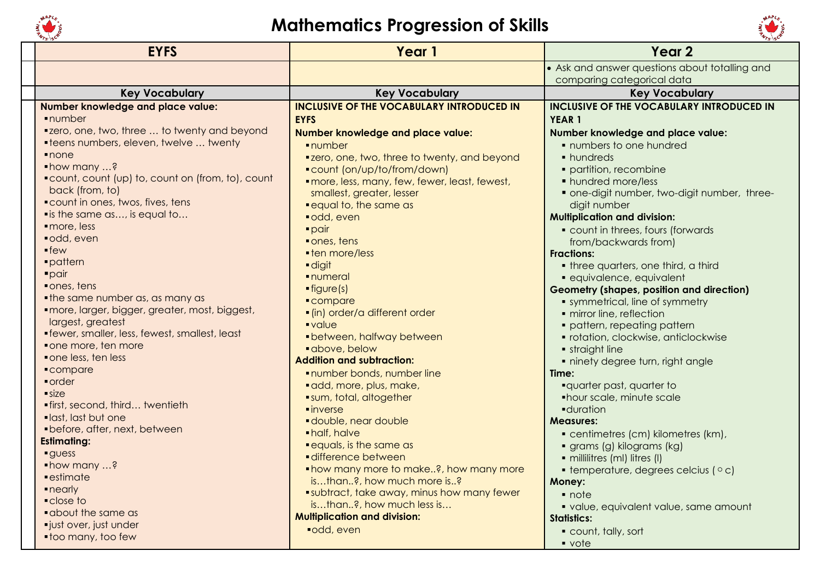



| <b>EYFS</b>                                                          | Year 1                                           | Year <sub>2</sub>                                             |
|----------------------------------------------------------------------|--------------------------------------------------|---------------------------------------------------------------|
|                                                                      |                                                  | • Ask and answer questions about totalling and                |
|                                                                      |                                                  | comparing categorical data                                    |
| <b>Key Vocabulary</b>                                                | <b>Key Vocabulary</b>                            | <b>Key Vocabulary</b>                                         |
| Number knowledge and place value:                                    | <b>INCLUSIVE OF THE VOCABULARY INTRODUCED IN</b> | <b>INCLUSIVE OF THE VOCABULARY INTRODUCED IN</b>              |
| ·number                                                              | <b>EYFS</b>                                      | YEAR <sub>1</sub>                                             |
| "zero, one, two, three  to twenty and beyond                         | Number knowledge and place value:                | Number knowledge and place value:                             |
| <b>•teens numbers, eleven, twelve  twenty</b>                        | ·number                                          | • numbers to one hundred                                      |
| $\blacksquare$ none                                                  | "zero, one, two, three to twenty, and beyond     | • hundreds                                                    |
| • how many ?                                                         | ■ count (on/up/to/from/down)                     | · partition, recombine                                        |
| "count, count (up) to, count on (from, to), count                    | · more, less, many, few, fewer, least, fewest,   | • hundred more/less                                           |
| back (from, to)                                                      | smallest, greater, lesser                        | • one-digit number, two-digit number, three-                  |
| <b>Count in ones, twos, fives, tens</b>                              | <b>• equal to, the same as</b>                   | digit number                                                  |
| " is the same as, is equal to                                        | odd, even                                        | <b>Multiplication and division:</b>                           |
| · more, less                                                         | $\blacksquare$ pair                              | • count in threes, fours (forwards                            |
| odd, even                                                            | ones, tens                                       | from/backwards from)                                          |
| $\blacksquare$ few                                                   | • ten more/less                                  | <b>Fractions:</b>                                             |
| ·pattern                                                             | digit                                            | • three quarters, one third, a third                          |
| $\blacksquare$ pair                                                  | · numeral                                        | · equivalence, equivalent                                     |
| • ones, tens                                                         | $\rule{1em}{0.15mm}$ figure (s)                  | <b>Geometry (shapes, position and direction)</b>              |
| • the same number as, as many as                                     | • compare                                        | • symmetrical, line of symmetry                               |
| · more, larger, bigger, greater, most, biggest,<br>largest, greatest | · (in) order/a different order                   | · mirror line, reflection                                     |
| • fewer, smaller, less, fewest, smallest, least                      | ·value                                           | · pattern, repeating pattern                                  |
| • one more, ten more                                                 | • between, halfway between                       | · rotation, clockwise, anticlockwise                          |
| • one less, ten less                                                 | · above, below                                   | • straight line                                               |
| • compare                                                            | <b>Addition and subtraction:</b>                 | · ninety degree turn, right angle                             |
| • order                                                              | number bonds, number line                        | Time:                                                         |
| $\blacksquare$ size                                                  | · add, more, plus, make,                         | <b>-quarter past, quarter to</b>                              |
| · first, second, third twentieth                                     | sum, total, altogether                           | • hour scale, minute scale                                    |
| ·last, last but one                                                  | $\blacksquare$ inverse<br>double, near double    | <b>-</b> duration                                             |
| • before, after, next, between                                       | • half, halve                                    | <b>Measures:</b>                                              |
| <b>Estimating:</b>                                                   | <b>.</b> equals, is the same as                  | • centimetres (cm) kilometres (km),                           |
| <b>guess</b>                                                         | difference between                               | · grams (g) kilograms (kg)<br>· millilitres (ml) litres (l)   |
| • how many ?                                                         | ■ how many more to make?, how many more          |                                                               |
| $=$ estimate                                                         | isthan?, how much more is?                       | $\bullet$ temperature, degrees celcius ( $\circ$ c)<br>Money: |
| $\blacksquare$ nearly                                                | subtract, take away, minus how many fewer        | • note                                                        |
| • close to                                                           | isthan?, how much less is                        |                                                               |
| <b>.</b> about the same as                                           | <b>Multiplication and division:</b>              | · value, equivalent value, same amount<br><b>Statistics:</b>  |
| ·just over, just under                                               | ■odd, even                                       |                                                               |
| • too many, too few                                                  |                                                  | count, tally, sort                                            |
|                                                                      |                                                  | $\bullet$ vote                                                |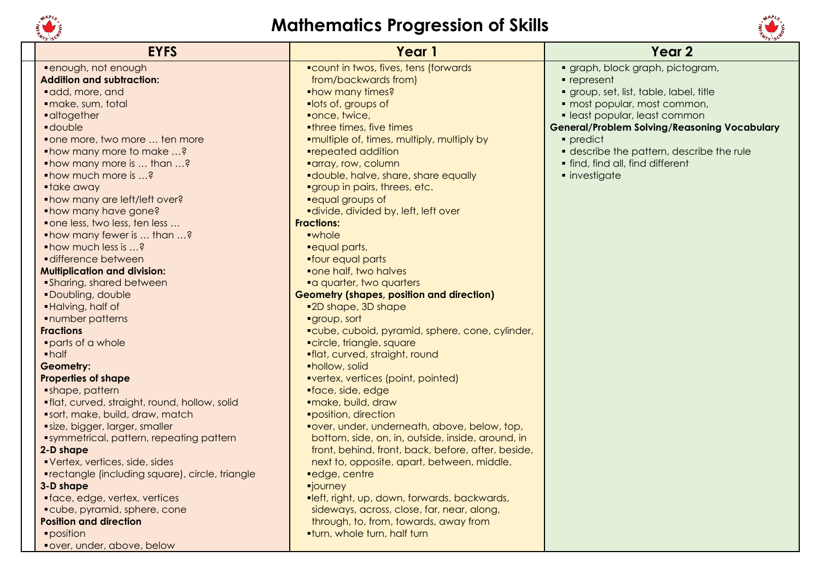



| <b>EYFS</b>                                            | Year 1                                             | Year <sub>2</sub>                                   |
|--------------------------------------------------------|----------------------------------------------------|-----------------------------------------------------|
| ·enough, not enough                                    | "count in twos, fives, tens (forwards              | · graph, block graph, pictogram,                    |
| <b>Addition and subtraction:</b>                       | from/backwards from)                               | $\blacksquare$ represent                            |
| · add, more, and                                       | <b>•how many times?</b>                            | · group, set, list, table, label, title             |
| · make, sum, total                                     | lots of, groups of                                 | · most popular, most common,                        |
| • altogether                                           | ■once, twice,                                      | · least popular, least common                       |
| <b>double</b>                                          | <b>.three times, five times</b>                    | <b>General/Problem Solving/Reasoning Vocabulary</b> |
| • one more, two more  ten more                         | <b>*multiple of, times, multiply, multiply by</b>  | • predict                                           |
| • how many more to make ?                              | ■repeated addition                                 | • describe the pattern, describe the rule           |
| • how many more is  than ?                             | <b>"array, row, column</b>                         | • find, find all, find different                    |
| • how much more is ?                                   | <b>-</b> double, halve, share, share equally       | · investigate                                       |
| • take away                                            | "group in pairs, threes, etc.                      |                                                     |
| • how many are left/left over?                         | "equal groups of                                   |                                                     |
| • how many have gone?                                  | <b>-divide, divided by, left, left over</b>        |                                                     |
| • one less, two less, ten less                         | <b>Fractions:</b>                                  |                                                     |
| • how many fewer is  than ?                            | ·whole                                             |                                                     |
| • how much less is ?                                   | <b>"equal parts,</b>                               |                                                     |
| difference between                                     | • four equal parts                                 |                                                     |
| <b>Multiplication and division:</b>                    | "one half, two halves                              |                                                     |
| • Sharing, shared between                              | a quarter, two quarters                            |                                                     |
| ·Doubling, double                                      | <b>Geometry (shapes, position and direction)</b>   |                                                     |
| ·Halving, half of                                      | ■2D shape, 3D shape                                |                                                     |
| <b>-number patterns</b>                                | "group, sort                                       |                                                     |
| <b>Fractions</b>                                       | "cube, cuboid, pyramid, sphere, cone, cylinder,    |                                                     |
| parts of a whole                                       | "circle, triangle, square                          |                                                     |
| $\blacksquare$ half                                    | . flat, curved, straight, round                    |                                                     |
| Geometry:                                              | • hollow, solid                                    |                                                     |
| <b>Properties of shape</b>                             | vertex, vertices (point, pointed)                  |                                                     |
| • shape, pattern                                       | •face, side, edge                                  |                                                     |
| . flat, curved, straight, round, hollow, solid         | ·make, build, draw                                 |                                                     |
| "sort, make, build, draw, match                        | <i><b>•position, direction</b></i>                 |                                                     |
| size, bigger, larger, smaller                          | "over, under, underneath, above, below, top,       |                                                     |
| "symmetrical, pattern, repeating pattern               | bottom, side, on, in, outside, inside, around, in  |                                                     |
| 2-D shape                                              | front, behind, front, back, before, after, beside, |                                                     |
| Vertex, vertices, side, sides                          | next to, opposite, apart, between, middle,         |                                                     |
| <b>•rectangle (including square), circle, triangle</b> | edge, centre                                       |                                                     |
| 3-D shape                                              | <b>"journey</b>                                    |                                                     |
| • face, edge, vertex, vertices                         | "left, right, up, down, forwards, backwards,       |                                                     |
| • cube, pyramid, sphere, cone                          | sideways, across, close, far, near, along,         |                                                     |
| <b>Position and direction</b>                          | through, to, from, towards, away from              |                                                     |
| · position                                             | <b>.turn, whole turn, half turn</b>                |                                                     |
| "over, under, above, below                             |                                                    |                                                     |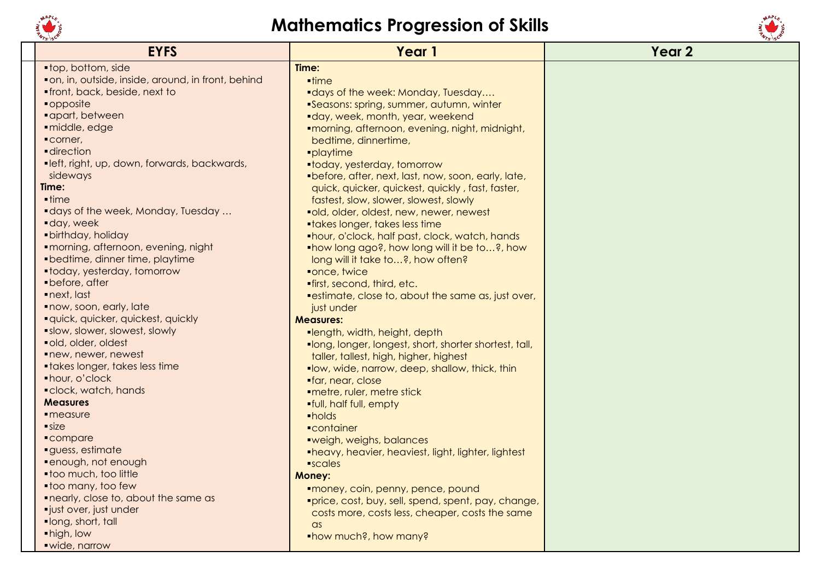



| <b>EYFS</b>                                         | Year 1                                                 | Year <sub>2</sub> |
|-----------------------------------------------------|--------------------------------------------------------|-------------------|
| ■ top, bottom, side                                 | Time:                                                  |                   |
| • on, in, outside, inside, around, in front, behind | $\blacksquare$ time                                    |                   |
| . front, back, beside, next to                      | <b>-days of the week: Monday, Tuesday</b>              |                   |
| • opposite                                          | Seasons: spring, summer, autumn, winter                |                   |
| · apart, between                                    | "day, week, month, year, weekend                       |                   |
| · middle, edge                                      | ■morning, afternoon, evening, night, midnight,         |                   |
| Corner,                                             | bedtime, dinnertime,                                   |                   |
| <b>direction</b>                                    | ·playtime                                              |                   |
| "left, right, up, down, forwards, backwards,        | •today, yesterday, tomorrow                            |                   |
| sideways                                            | "before, after, next, last, now, soon, early, late,    |                   |
| Time:                                               | quick, quicker, quickest, quickly, fast, faster,       |                   |
| $\blacksquare$ time                                 | fastest, slow, slower, slowest, slowly                 |                   |
| <b>-days of the week, Monday, Tuesday</b>           | "old, older, oldest, new, newer, newest                |                   |
| day, week                                           | <b>•takes longer, takes less time</b>                  |                   |
| · birthday, holiday                                 | "hour, o'clock, half past, clock, watch, hands         |                   |
| · morning, afternoon, evening, night                | .how long ago?, how long will it be to?, how           |                   |
| • bedtime, dinner time, playtime                    | long will it take to?, how often?                      |                   |
| • today, yesterday, tomorrow                        | ■once, twice                                           |                   |
| • before, after                                     | <b>.</b> first, second, third, etc.                    |                   |
| $\blacksquare$ next, last                           | "estimate, close to, about the same as, just over,     |                   |
| now, soon, early, late                              | just under                                             |                   |
| · quick, quicker, quickest, quickly                 | <b>Measures:</b>                                       |                   |
| <b>Slow, slower, slowest, slowly</b>                | ■length, width, height, depth                          |                   |
| ·old, older, oldest                                 | .long, longer, longest, short, shorter shortest, tall, |                   |
| new, newer, newest                                  | taller, tallest, high, higher, highest                 |                   |
| • takes longer, takes less time                     | "low, wide, narrow, deep, shallow, thick, thin         |                   |
| • hour, o'clock                                     | •far, near, close                                      |                   |
| · clock, watch, hands                               | ·metre, ruler, metre stick                             |                   |
| <b>Measures</b>                                     | <b>.</b> full, half full, empty                        |                   |
| $\blacksquare$ measure                              | ·holds                                                 |                   |
| size                                                | <b>•container</b>                                      |                   |
| • compare                                           | "weigh, weighs, balances                               |                   |
| guess, estimate                                     | •heavy, heavier, heaviest, light, lighter, lightest    |                   |
| ·enough, not enough                                 | $\blacksquare$ scales                                  |                   |
| .too much, too little                               | <b>Money:</b>                                          |                   |
| • too many, too few                                 | "money, coin, penny, pence, pound                      |                   |
| <b>• nearly, close to, about the same as</b>        | "price, cost, buy, sell, spend, spent, pay, change,    |                   |
| ·just over, just under                              | costs more, costs less, cheaper, costs the same        |                   |
| ·long, short, tall                                  | $\alpha$ s                                             |                   |
| • high, low                                         | • how much?, how many?                                 |                   |
| · wide, narrow                                      |                                                        |                   |